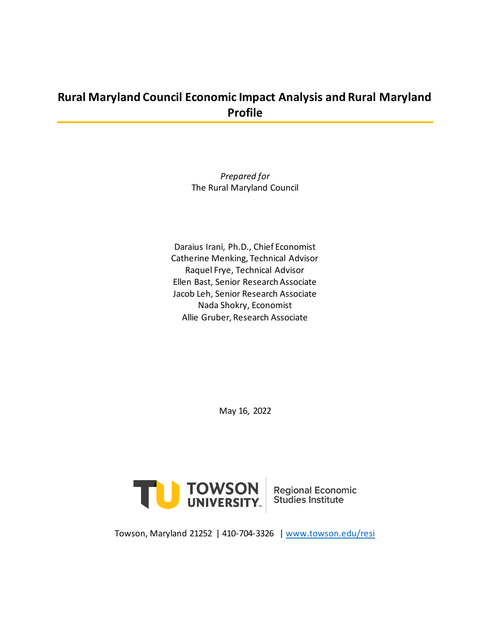# **Rural Maryland Council Economic Impact Analysis and Rural Maryland Profile**

*Prepared for* The Rural Maryland Council

Daraius Irani, Ph.D., Chief Economist Catherine Menking, Technical Advisor Raquel Frye, Technical Advisor Ellen Bast, Senior Research Associate Jacob Leh, Senior Research Associate Nada Shokry, Economist Allie Gruber, Research Associate

May 16, 2022



**Regional Economic Studies Institute** 

Towson, Maryland 21252 | 410-704-3326 | www.towson.edu/resi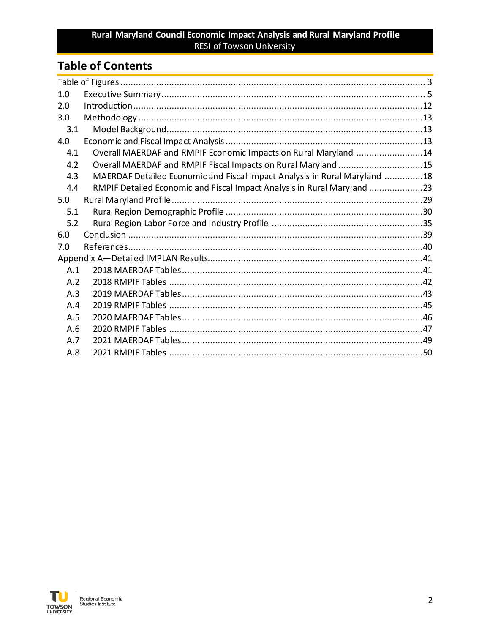# **Table of Contents**

| 1.0 |                                                                           |  |
|-----|---------------------------------------------------------------------------|--|
| 2.0 |                                                                           |  |
| 3.0 |                                                                           |  |
| 3.1 |                                                                           |  |
| 4.0 |                                                                           |  |
| 4.1 | Overall MAERDAF and RMPIF Economic Impacts on Rural Maryland 14           |  |
| 4.2 | Overall MAERDAF and RMPIF Fiscal Impacts on Rural Maryland 15             |  |
| 4.3 | MAERDAF Detailed Economic and Fiscal Impact Analysis in Rural Maryland 18 |  |
| 4.4 | RMPIF Detailed Economic and Fiscal Impact Analysis in Rural Maryland 23   |  |
| 5.0 |                                                                           |  |
| 5.1 |                                                                           |  |
| 5.2 |                                                                           |  |
| 6.0 |                                                                           |  |
| 7.0 |                                                                           |  |
|     |                                                                           |  |
| A.1 |                                                                           |  |
| A.2 |                                                                           |  |
| A.3 |                                                                           |  |
| A.4 |                                                                           |  |
| A.5 |                                                                           |  |
| A.6 |                                                                           |  |
| A.7 |                                                                           |  |
| A.8 |                                                                           |  |

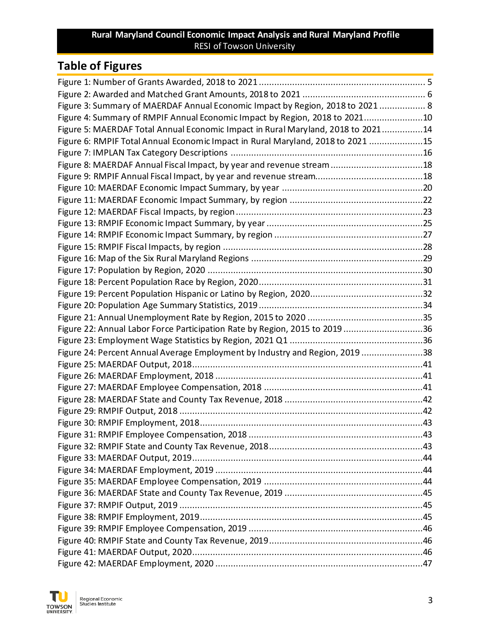# **Table of Figures**

| Figure 3: Summary of MAERDAF Annual Economic Impact by Region, 2018 to 2021  8   |  |
|----------------------------------------------------------------------------------|--|
| Figure 4: Summary of RMPIF Annual Economic Impact by Region, 2018 to 202110      |  |
| Figure 5: MAERDAF Total Annual Economic Impact in Rural Maryland, 2018 to 202114 |  |
| Figure 6: RMPIF Total Annual Economic Impact in Rural Maryland, 2018 to 2021 15  |  |
|                                                                                  |  |
| Figure 8: MAERDAF Annual Fiscal Impact, by year and revenue stream 18            |  |
|                                                                                  |  |
|                                                                                  |  |
|                                                                                  |  |
|                                                                                  |  |
|                                                                                  |  |
|                                                                                  |  |
|                                                                                  |  |
|                                                                                  |  |
|                                                                                  |  |
|                                                                                  |  |
|                                                                                  |  |
|                                                                                  |  |
|                                                                                  |  |
| Figure 22: Annual Labor Force Participation Rate by Region, 2015 to 2019 36      |  |
|                                                                                  |  |
| Figure 24: Percent Annual Average Employment by Industry and Region, 2019 38     |  |
|                                                                                  |  |
|                                                                                  |  |
|                                                                                  |  |
|                                                                                  |  |
|                                                                                  |  |
|                                                                                  |  |
|                                                                                  |  |
|                                                                                  |  |
|                                                                                  |  |
|                                                                                  |  |
|                                                                                  |  |
|                                                                                  |  |
|                                                                                  |  |
|                                                                                  |  |
|                                                                                  |  |
|                                                                                  |  |
|                                                                                  |  |
|                                                                                  |  |

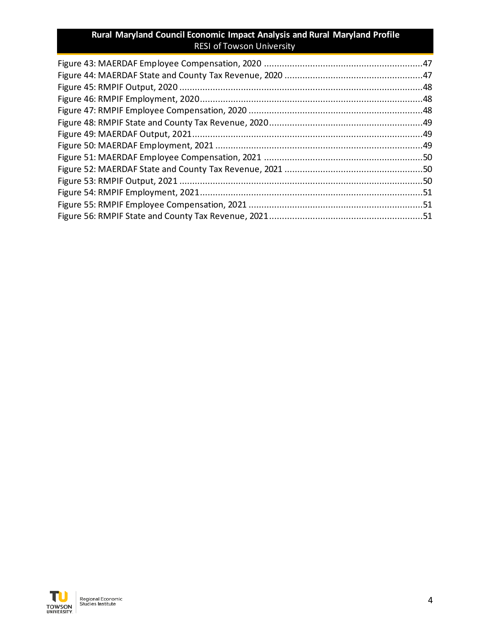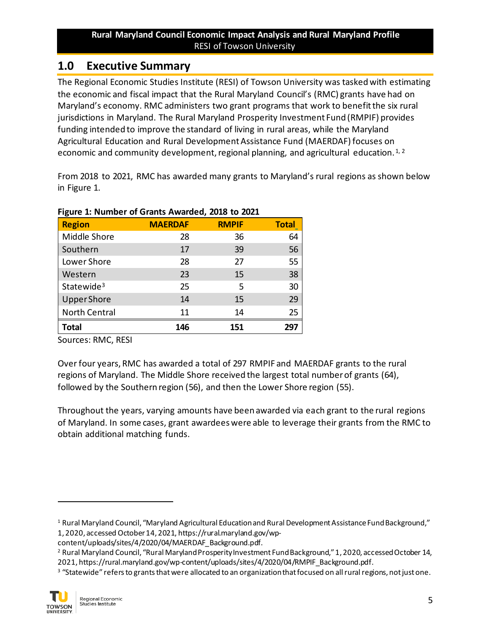# **1.0 Executive Summary**

The Regional Economic Studies Institute (RESI) of Towson University was tasked with estimating the economic and fiscal impact that the Rural Maryland Council's (RMC) grants have had on Maryland's economy. RMC administers two grant programs that work to benefit the six rural jurisdictions in Maryland. The Rural Maryland Prosperity Investment Fund (RMPIF) provides funding intended to improve the standard of living in rural areas, while the Maryland Agricultural Education and Rural Development Assistance Fund (MAERDAF) focuses on economic and community development, regional planning, and agricultural education.  $1/2$ 

From 2018 to 2021, RMC has awarded many grants to Maryland's rural regions as shown below in Figure 1.

|                        | <b>I INDIC 1. ITALINUL UL GIULIU ANIULULUI LU10 TU LUL1</b> |              |              |  |  |  |  |
|------------------------|-------------------------------------------------------------|--------------|--------------|--|--|--|--|
| <b>Region</b>          | <b>MAERDAF</b>                                              | <b>RMPIF</b> | <b>Total</b> |  |  |  |  |
| Middle Shore           | 28                                                          | 36           | 64           |  |  |  |  |
| Southern               | 17                                                          | 39           | 56           |  |  |  |  |
| Lower Shore            | 28                                                          | 27           | 55           |  |  |  |  |
| Western                | 23                                                          | 15           | 38           |  |  |  |  |
| Statewide <sup>3</sup> | 25                                                          | 5            | 30           |  |  |  |  |
| <b>Upper Shore</b>     | 14                                                          | 15           | 29           |  |  |  |  |
| <b>North Central</b>   | 11                                                          | 14           | 25           |  |  |  |  |
| <b>Total</b>           | 146                                                         | 151          | 297          |  |  |  |  |

# **Figure 1: Number of Grants Awarded, 2018 to 2021**

Sources: RMC, RESI

Over four years, RMC has awarded a total of 297 RMPIF and MAERDAF grants to the rural regions of Maryland. The Middle Shore received the largest total number of grants (64), followed by the Southern region (56), and then the Lower Shore region (55).

Throughout the years, varying amounts have been awarded via each grant to the rural regions of Maryland. In some cases, grant awardees were able to leverage their grants from the RMC to obtain additional matching funds.

content/uploads/sites/4/2020/04/MAERDAF\_Background.pdf.

<sup>&</sup>lt;sup>3</sup> "Statewide" refers to grants that were allocated to an organization that focused on all rural regions, not just one.



<sup>1</sup> Rural Maryland Council, "Maryland Agricultural Education and Rural Development Assistance Fund Background," 1, 2020, accessed October 14, 2021, https://rural.maryland.gov/wp-

<sup>2</sup> Rural Maryland Council, "Rural Maryland Prosperity Investment Fund Background," 1, 2020, accessed October 14, 2021, https://rural.maryland.gov/wp-content/uploads/sites/4/2020/04/RMPIF\_Background.pdf.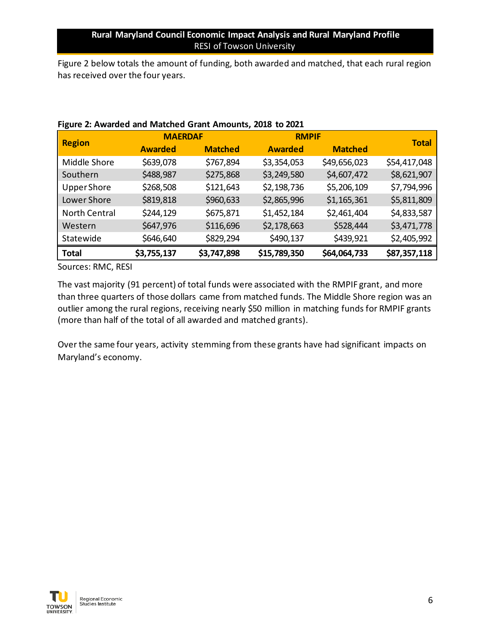Figure 2 below totals the amount of funding, both awarded and matched, that each rural region has received over the four years.

|                    | .<br><u>UIUIII / IIIIVUIIIU) LUIU IU LULI</u> |                |                |                |              |  |  |  |
|--------------------|-----------------------------------------------|----------------|----------------|----------------|--------------|--|--|--|
|                    | <b>MAERDAF</b>                                |                | <b>RMPIF</b>   |                |              |  |  |  |
| <b>Region</b>      | <b>Awarded</b>                                | <b>Matched</b> | <b>Awarded</b> | <b>Matched</b> | <b>Total</b> |  |  |  |
| Middle Shore       | \$639,078                                     | \$767,894      | \$3,354,053    | \$49,656,023   | \$54,417,048 |  |  |  |
| Southern           | \$488,987                                     | \$275,868      | \$3,249,580    | \$4,607,472    | \$8,621,907  |  |  |  |
| <b>Upper Shore</b> | \$268,508                                     | \$121,643      | \$2,198,736    | \$5,206,109    | \$7,794,996  |  |  |  |
| Lower Shore        | \$819,818                                     | \$960,633      | \$2,865,996    | \$1,165,361    | \$5,811,809  |  |  |  |
| North Central      | \$244,129                                     | \$675,871      | \$1,452,184    | \$2,461,404    | \$4,833,587  |  |  |  |
| Western            | \$647,976                                     | \$116,696      | \$2,178,663    | \$528,444      | \$3,471,778  |  |  |  |
| Statewide          | \$646,640                                     | \$829,294      | \$490,137      | \$439,921      | \$2,405,992  |  |  |  |
| <b>Total</b>       | \$3,755,137                                   | \$3,747,898    | \$15,789,350   | \$64,064,733   | \$87,357,118 |  |  |  |

#### **Figure 2: Awarded and Matched Grant Amounts, 2018 to 2021**

Sources: RMC, RESI

The vast majority (91 percent) of total funds were associated with the RMPIF grant, and more than three quarters of those dollars came from matched funds. The Middle Shore region was an outlier among the rural regions, receiving nearly \$50 million in matching funds for RMPIF grants (more than half of the total of all awarded and matched grants).

Over the same four years, activity stemming from these grants have had significant impacts on Maryland's economy.

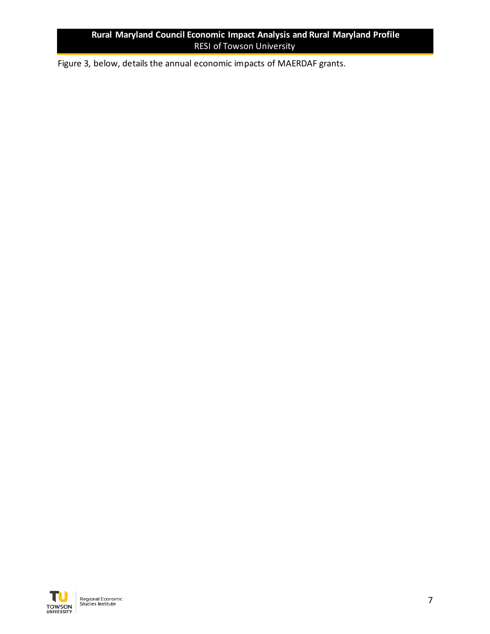Figure 3, below, details the annual economic impacts of MAERDAF grants.

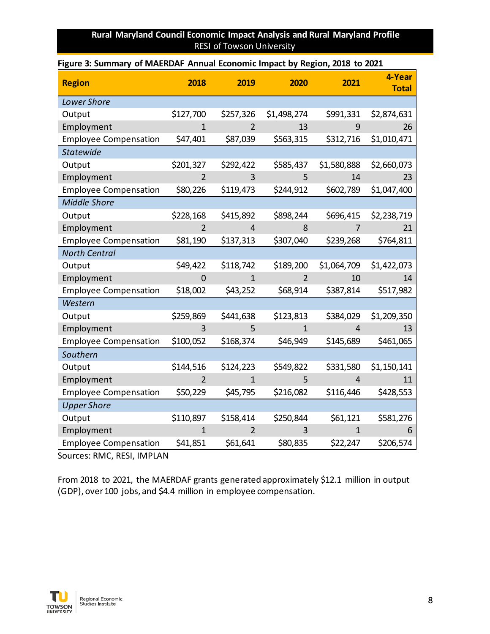## **Figure 3: Summary of MAERDAF Annual Economic Impact by Region, 2018 to 2021**

| <b>Region</b>                                            | 2018           | 2019           | 2020           | 2021           | 4-Year<br><b>Total</b> |
|----------------------------------------------------------|----------------|----------------|----------------|----------------|------------------------|
| Lower Shore                                              |                |                |                |                |                        |
| Output                                                   | \$127,700      | \$257,326      | \$1,498,274    | \$991,331      | \$2,874,631            |
| Employment                                               | $\mathbf{1}$   | 2              | 13             | 9              | 26                     |
| <b>Employee Compensation</b>                             | \$47,401       | \$87,039       | \$563,315      | \$312,716      | \$1,010,471            |
| <b>Statewide</b>                                         |                |                |                |                |                        |
| Output                                                   | \$201,327      | \$292,422      | \$585,437      | \$1,580,888    | \$2,660,073            |
| Employment                                               | $\overline{2}$ | 3              | 5              | 14             | 23                     |
| <b>Employee Compensation</b>                             | \$80,226       | \$119,473      | \$244,912      | \$602,789      | \$1,047,400            |
| <b>Middle Shore</b>                                      |                |                |                |                |                        |
| Output                                                   | \$228,168      | \$415,892      | \$898,244      | \$696,415      | \$2,238,719            |
| Employment                                               | $\overline{2}$ | $\overline{4}$ | 8              | $\overline{7}$ | 21                     |
| <b>Employee Compensation</b>                             | \$81,190       | \$137,313      | \$307,040      | \$239,268      | \$764,811              |
| <b>North Central</b>                                     |                |                |                |                |                        |
| Output                                                   | \$49,422       | \$118,742      | \$189,200      | \$1,064,709    | \$1,422,073            |
| Employment                                               | $\Omega$       | $\mathbf{1}$   | $\overline{2}$ | 10             | 14                     |
| <b>Employee Compensation</b>                             | \$18,002       | \$43,252       | \$68,914       | \$387,814      | \$517,982              |
| Western                                                  |                |                |                |                |                        |
| Output                                                   | \$259,869      | \$441,638      | \$123,813      | \$384,029      | \$1,209,350            |
| Employment                                               | 3              | 5              | $\mathbf{1}$   | $\overline{4}$ | 13                     |
| <b>Employee Compensation</b>                             | \$100,052      | \$168,374      | \$46,949       | \$145,689      | \$461,065              |
| Southern                                                 |                |                |                |                |                        |
| Output                                                   | \$144,516      | \$124,223      | \$549,822      | \$331,580      | \$1,150,141            |
| Employment                                               | $\overline{2}$ | $\mathbf{1}$   | 5              | $\overline{4}$ | 11                     |
| <b>Employee Compensation</b>                             | \$50,229       | \$45,795       | \$216,082      | \$116,446      | \$428,553              |
| <b>Upper Shore</b>                                       |                |                |                |                |                        |
| Output                                                   | \$110,897      | \$158,414      | \$250,844      | \$61,121       | \$581,276              |
| Employment                                               | $\mathbf{1}$   | $\overline{2}$ | 3              | $\mathbf{1}$   | 6                      |
| <b>Employee Compensation</b><br><b>PARC PECILIARIANI</b> | \$41,851       | \$61,641       | \$80,835       | \$22,247       | \$206,574              |

Sources: RMC, RESI, IMPLAN

From 2018 to 2021, the MAERDAF grants generated approximately \$12.1 million in output (GDP), over 100 jobs, and \$4.4 million in employee compensation.

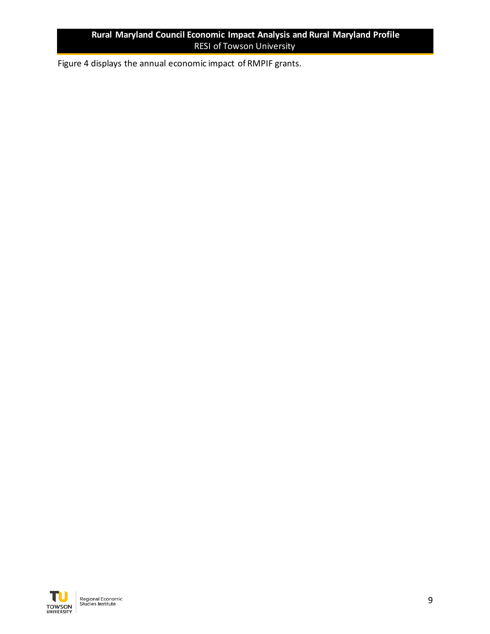Figure 4 displays the annual economic impact of RMPIF grants.

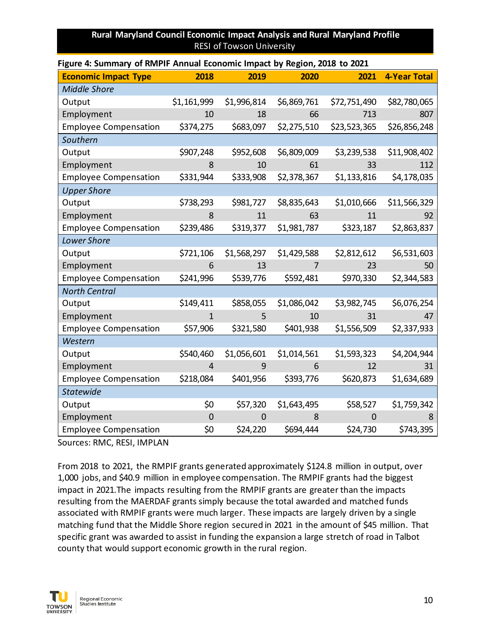| <b>Economic Impact Type</b>  | 2018           | 2019           | 2020           | 2021         | <b>4-Year Total</b> |
|------------------------------|----------------|----------------|----------------|--------------|---------------------|
| <b>Middle Shore</b>          |                |                |                |              |                     |
| Output                       | \$1,161,999    | \$1,996,814    | \$6,869,761    | \$72,751,490 | \$82,780,065        |
| Employment                   | 10             | 18             | 66             | 713          | 807                 |
| <b>Employee Compensation</b> | \$374,275      | \$683,097      | \$2,275,510    | \$23,523,365 | \$26,856,248        |
| Southern                     |                |                |                |              |                     |
| Output                       | \$907,248      | \$952,608      | \$6,809,009    | \$3,239,538  | \$11,908,402        |
| Employment                   | 8              | 10             | 61             | 33           | 112                 |
| <b>Employee Compensation</b> | \$331,944      | \$333,908      | \$2,378,367    | \$1,133,816  | \$4,178,035         |
| <b>Upper Shore</b>           |                |                |                |              |                     |
| Output                       | \$738,293      | \$981,727      | \$8,835,643    | \$1,010,666  | \$11,566,329        |
| Employment                   | 8              | 11             | 63             | 11           | 92                  |
| <b>Employee Compensation</b> | \$239,486      | \$319,377      | \$1,981,787    | \$323,187    | \$2,863,837         |
| Lower Shore                  |                |                |                |              |                     |
| Output                       | \$721,106      | \$1,568,297    | \$1,429,588    | \$2,812,612  | \$6,531,603         |
| Employment                   | 6              | 13             | $\overline{7}$ | 23           | 50                  |
| <b>Employee Compensation</b> | \$241,996      | \$539,776      | \$592,481      | \$970,330    | \$2,344,583         |
| <b>North Central</b>         |                |                |                |              |                     |
| Output                       | \$149,411      | \$858,055      | \$1,086,042    | \$3,982,745  | \$6,076,254         |
| Employment                   | $\mathbf{1}$   | 5              | 10             | 31           | 47                  |
| <b>Employee Compensation</b> | \$57,906       | \$321,580      | \$401,938      | \$1,556,509  | \$2,337,933         |
| Western                      |                |                |                |              |                     |
| Output                       | \$540,460      | \$1,056,601    | \$1,014,561    | \$1,593,323  | \$4,204,944         |
| Employment                   | $\overline{4}$ | 9              | 6              | 12           | 31                  |
| <b>Employee Compensation</b> | \$218,084      | \$401,956      | \$393,776      | \$620,873    | \$1,634,689         |
| <b>Statewide</b>             |                |                |                |              |                     |
| Output                       | \$0            | \$57,320       | \$1,643,495    | \$58,527     | \$1,759,342         |
| Employment                   | $\mathbf 0$    | $\overline{0}$ | 8              | $\mathbf 0$  | 8                   |
| <b>Employee Compensation</b> | \$0            | \$24,220       | \$694,444      | \$24,730     | \$743,395           |

#### **Figure 4: Summary of RMPIF Annual Economic Impact by Region, 2018 to 2021**

Sources: RMC, RESI, IMPLAN

From 2018 to 2021, the RMPIF grants generated approximately \$124.8 million in output, over 1,000 jobs, and \$40.9 million in employee compensation. The RMPIF grants had the biggest impact in 2021.The impacts resulting from the RMPIF grants are greater than the impacts resulting from the MAERDAF grants simply because the total awarded and matched funds associated with RMPIF grants were much larger. These impacts are largely driven by a single matching fund that the Middle Shore region secured in 2021 in the amount of \$45 million. That specific grant was awarded to assist in funding the expansion a large stretch of road in Talbot county that would support economic growth in the rural region.

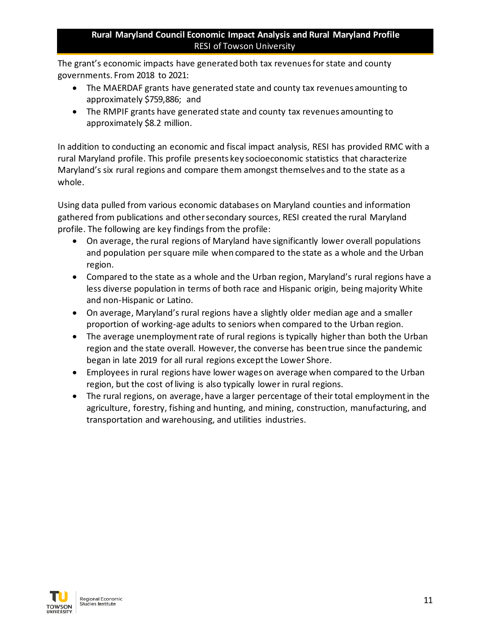The grant's economic impacts have generated both tax revenues for state and county governments. From 2018 to 2021:

- The MAERDAF grants have generated state and county tax revenues amounting to approximately \$759,886; and
- The RMPIF grants have generated state and county tax revenues amounting to approximately \$8.2 million.

In addition to conducting an economic and fiscal impact analysis, RESI has provided RMC with a rural Maryland profile. This profile presents key socioeconomic statistics that characterize Maryland's six rural regions and compare them amongst themselves and to the state as a whole.

Using data pulled from various economic databases on Maryland counties and information gathered from publications and other secondary sources, RESI created the rural Maryland profile. The following are key findings from the profile:

- On average, the rural regions of Maryland have significantly lower overall populations and population per square mile when compared to the state as a whole and the Urban region.
- Compared to the state as a whole and the Urban region, Maryland's rural regions have a less diverse population in terms of both race and Hispanic origin, being majority White and non-Hispanic or Latino.
- On average, Maryland's rural regions have a slightly older median age and a smaller proportion of working-age adults to seniors when compared to the Urban region.
- The average unemployment rate of rural regions is typically higher than both the Urban region and the state overall. However, the converse has been true since the pandemic began in late 2019 for all rural regions except the Lower Shore.
- Employees in rural regions have lower wages on average when compared to the Urban region, but the cost of living is also typically lower in rural regions.
- The rural regions, on average, have a larger percentage of their total employment in the agriculture, forestry, fishing and hunting, and mining, construction, manufacturing, and transportation and warehousing, and utilities industries.

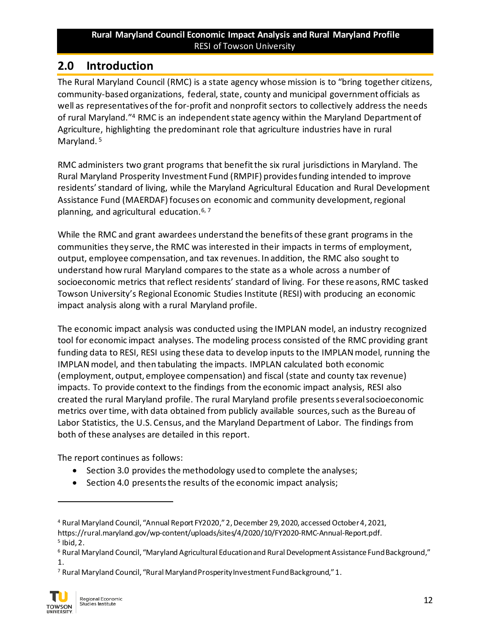# **2.0 Introduction**

The Rural Maryland Council (RMC) is a state agency whose mission is to "bring together citizens, community-based organizations, federal, state, county and municipal government officials as well as representatives of the for-profit and nonprofit sectors to collectively address the needs of rural Maryland." <sup>4</sup> RMC is an independent state agency within the Maryland Department of Agriculture, highlighting the predominant role that agriculture industries have in rural Maryland.<sup>5</sup>

RMC administers two grant programs that benefit the six rural jurisdictions in Maryland. The Rural Maryland Prosperity Investment Fund (RMPIF) provides funding intended to improve residents' standard of living, while the Maryland Agricultural Education and Rural Development Assistance Fund (MAERDAF) focuses on economic and community development, regional planning, and agricultural education.6, 7

While the RMC and grant awardees understand the benefits of these grant programs in the communities they serve, the RMC was interested in their impacts in terms of employment, output, employee compensation, and tax revenues. In addition, the RMC also sought to understand how rural Maryland compares to the state as a whole across a number of socioeconomic metrics that reflect residents' standard of living. For these reasons, RMC tasked Towson University's Regional Economic Studies Institute (RESI) with producing an economic impact analysis along with a rural Maryland profile.

The economic impact analysis was conducted using the IMPLAN model, an industry recognized tool for economic impact analyses. The modeling process consisted of the RMC providing grant funding data to RESI, RESI using these data to develop inputs to the IMPLAN model, running the IMPLAN model, and then tabulating the impacts. IMPLAN calculated both economic (employment, output, employee compensation) and fiscal (state and county tax revenue) impacts. To provide context to the findings from the economic impact analysis, RESI also created the rural Maryland profile. The rural Maryland profile presents several socioeconomic metrics over time, with data obtained from publicly available sources, such as the Bureau of Labor Statistics, the U.S. Census, and the Maryland Department of Labor. The findings from both of these analyses are detailed in this report.

The report continues as follows:

- Section 3.0 provides the methodology used to complete the analyses;
- Section 4.0 presents the results of the economic impact analysis;

<sup>7</sup> Rural Maryland Council, "Rural Maryland Prosperity Investment Fund Background," 1.



<sup>4</sup> Rural Maryland Council, "Annual Report FY2020," 2, December 29, 2020, accessed October 4, 2021, https://rural.maryland.gov/wp-content/uploads/sites/4/2020/10/FY2020-RMC-Annual-Report.pdf. 5 Ibid, 2.

<sup>6</sup> Rural Maryland Council, "Maryland Agricultural Education and Rural Development Assistance Fund Background," 1.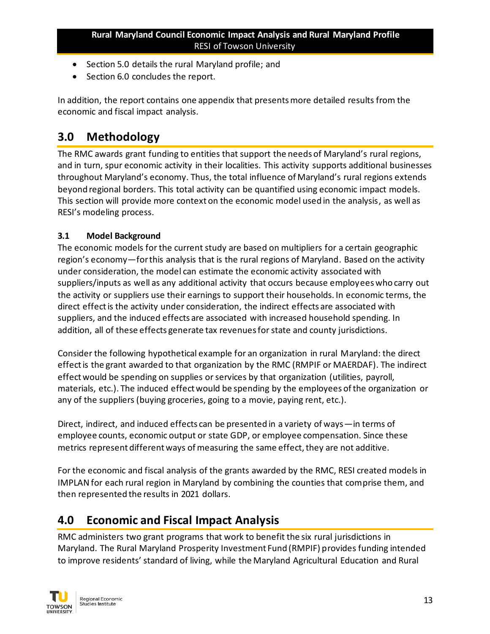- Section 5.0 details the rural Maryland profile; and
- Section 6.0 concludes the report.

In addition, the report contains one appendix that presents more detailed results from the economic and fiscal impact analysis.

# **3.0 Methodology**

The RMC awards grant funding to entities that support the needs of Maryland's rural regions, and in turn, spur economic activity in their localities. This activity supports additional businesses throughout Maryland's economy. Thus, the total influence of Maryland's rural regions extends beyond regional borders. This total activity can be quantified using economic impact models. This section will provide more context on the economic model used in the analysis, as well as RESI's modeling process.

## **3.1 Model Background**

The economic models for the current study are based on multipliers for a certain geographic region's economy—for this analysis that is the rural regions of Maryland. Based on the activity under consideration, the model can estimate the economic activity associated with suppliers/inputs as well as any additional activity that occurs because employees who carry out the activity or suppliers use their earnings to support their households. In economic terms, the direct effect is the activity under consideration, the indirect effects are associated with suppliers, and the induced effects are associated with increased household spending. In addition, all of these effects generate tax revenues for state and county jurisdictions.

Consider the following hypothetical example for an organization in rural Maryland: the direct effect is the grant awarded to that organization by the RMC (RMPIF or MAERDAF). The indirect effect would be spending on supplies or services by that organization (utilities, payroll, materials, etc.). The induced effect would be spending by the employees of the organization or any of the suppliers (buying groceries, going to a movie, paying rent, etc.).

Direct, indirect, and induced effects can be presented in a variety of ways—in terms of employee counts, economic output or state GDP, or employee compensation. Since these metrics represent different ways of measuring the same effect, they are not additive.

For the economic and fiscal analysis of the grants awarded by the RMC, RESI created models in IMPLAN for each rural region in Maryland by combining the counties that comprise them, and then represented the results in 2021 dollars.

# **4.0 Economic and Fiscal Impact Analysis**

RMC administers two grant programs that work to benefit the six rural jurisdictions in Maryland. The Rural Maryland Prosperity Investment Fund (RMPIF) provides funding intended to improve residents' standard of living, while the Maryland Agricultural Education and Rural

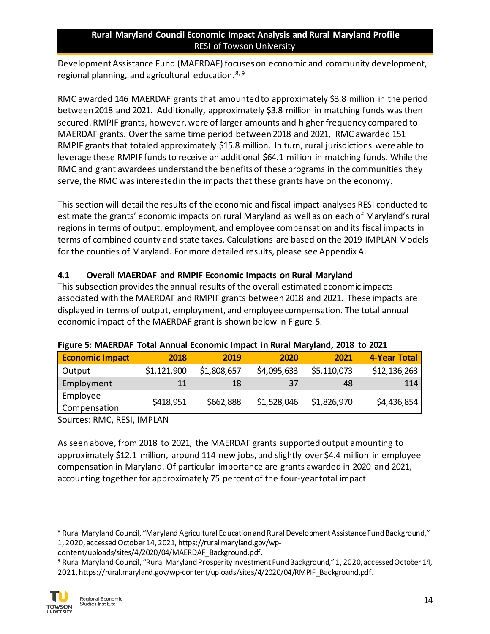Development Assistance Fund (MAERDAF) focuses on economic and community development, regional planning, and agricultural education.8, 9

RMC awarded 146 MAERDAF grants that amounted to approximately \$3.8 million in the period between 2018 and 2021. Additionally, approximately \$3.8 million in matching funds was then secured. RMPIF grants, however, were of larger amounts and higher frequency compared to MAERDAF grants. Over the same time period between 2018 and 2021, RMC awarded 151 RMPIF grants that totaled approximately \$15.8 million. In turn, rural jurisdictions were able to leverage these RMPIF funds to receive an additional \$64.1 million in matching funds. While the RMC and grant awardees understand the benefits of these programs in the communities they serve, the RMC was interested in the impacts that these grants have on the economy.

This section will detail the results of the economic and fiscal impact analyses RESI conducted to estimate the grants' economic impacts on rural Maryland as well as on each of Maryland's rural regions in terms of output, employment, and employee compensation and its fiscal impacts in terms of combined county and state taxes. Calculations are based on the 2019 IMPLAN Models for the counties of Maryland. For more detailed results, please see Appendix A.

## **4.1 Overall MAERDAF and RMPIF Economic Impacts on Rural Maryland**

This subsection provides the annual results of the overall estimated economic impacts associated with the MAERDAF and RMPIF grants between 2018 and 2021. These impacts are displayed in terms of output, employment, and employee compensation. The total annual economic impact of the MAERDAF grant is shown below in Figure 5.

| <b>Economic Impact</b> | 2018        | 2019        | 2020        | 2021        | <b>4-Year Total</b> |
|------------------------|-------------|-------------|-------------|-------------|---------------------|
| Output                 | \$1,121,900 | \$1,808,657 | \$4,095,633 | \$5,110,073 | \$12,136,263        |
| Employment             |             | 18          | 37          | 48          | 114                 |
| Employee               | \$418,951   | \$662,888   | \$1,528,046 | \$1,826,970 | \$4,436,854         |
| Compensation           |             |             |             |             |                     |
|                        |             |             |             |             |                     |

#### **Figure 5: MAERDAF Total Annual Economic Impact in Rural Maryland, 2018 to 2021**

Sources: RMC, RESI, IMPLAN

As seen above, from 2018 to 2021, the MAERDAF grants supported output amounting to approximately \$12.1 million, around 114 new jobs, and slightly over \$4.4 million in employee compensation in Maryland. Of particular importance are grants awarded in 2020 and 2021, accounting together for approximately 75 percent of the four-year total impact.

content/uploads/sites/4/2020/04/MAERDAF\_Background.pdf.

<sup>9</sup> Rural Maryland Council, "Rural Maryland Prosperity Investment Fund Background," 1, 2020, accessed October 14, 2021, https://rural.maryland.gov/wp-content/uploads/sites/4/2020/04/RMPIF\_Background.pdf.



<sup>8</sup> Rural Maryland Council, "Maryland Agricultural Education and Rural Development Assistance Fund Background," 1, 2020, accessed October 14, 2021, https://rural.maryland.gov/wp-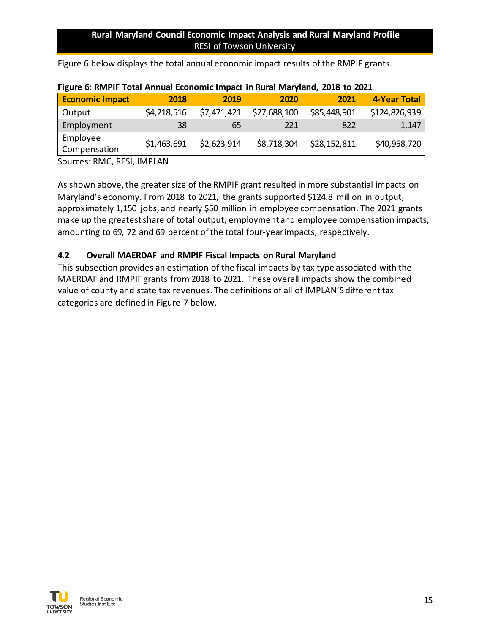Figure 6 below displays the total annual economic impact results of the RMPIF grants.

| <b>Economic Impact</b>   | 2018        | 2019        | 2020         | 2021         | 4-Year Total  |  |  |  |
|--------------------------|-------------|-------------|--------------|--------------|---------------|--|--|--|
| Output                   | \$4,218,516 | \$7,471,421 | \$27,688,100 | \$85,448,901 | \$124,826,939 |  |  |  |
| Employment               | 38          | 65          | 221          | 822          | 1,147         |  |  |  |
| Employee<br>Compensation | \$1,463,691 | \$2,623,914 | \$8,718,304  | \$28,152,811 | \$40,958,720  |  |  |  |
|                          |             |             |              |              |               |  |  |  |

#### **Figure 6: RMPIF Total Annual Economic Impact in Rural Maryland, 2018 to 2021**

Sources: RMC, RESI, IMPLAN

As shown above, the greater size of the RMPIF grant resulted in more substantial impacts on Maryland's economy. From 2018 to 2021, the grants supported \$124.8 million in output, approximately 1,150 jobs, and nearly \$50 million in employee compensation. The 2021 grants make up the greatest share of total output, employment and employee compensation impacts, amounting to 69, 72 and 69 percent of the total four-year impacts, respectively.

## **4.2 Overall MAERDAF and RMPIF Fiscal Impacts on Rural Maryland**

This subsection provides an estimation of the fiscal impacts by tax type associated with the MAERDAF and RMPIF grants from 2018 to 2021. These overall impacts show the combined value of county and state tax revenues. The definitions of all of IMPLAN'S different tax categories are defined in Figure 7 below.

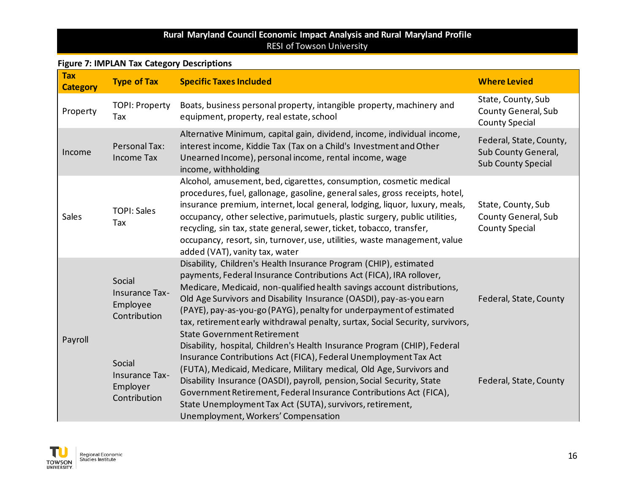## **Figure 7: IMPLAN Tax Category Descriptions**

| <b>Tax</b><br><b>Category</b> | <b>Type of Tax</b>                                          | <b>Specific Taxes Included</b>                                                                                                                                                                                                                                                                                                                                                                                                                                                                          | <b>Where Levied</b>                                                         |
|-------------------------------|-------------------------------------------------------------|---------------------------------------------------------------------------------------------------------------------------------------------------------------------------------------------------------------------------------------------------------------------------------------------------------------------------------------------------------------------------------------------------------------------------------------------------------------------------------------------------------|-----------------------------------------------------------------------------|
| Property                      | <b>TOPI: Property</b><br>Tax                                | Boats, business personal property, intangible property, machinery and<br>equipment, property, real estate, school                                                                                                                                                                                                                                                                                                                                                                                       | State, County, Sub<br>County General, Sub<br><b>County Special</b>          |
| Income                        | <b>Personal Tax:</b><br><b>Income Tax</b>                   | Alternative Minimum, capital gain, dividend, income, individual income,<br>interest income, Kiddie Tax (Tax on a Child's Investment and Other<br>Unearned Income), personal income, rental income, wage<br>income, withholding                                                                                                                                                                                                                                                                          | Federal, State, County,<br>Sub County General,<br><b>Sub County Special</b> |
| <b>Sales</b>                  | <b>TOPI: Sales</b><br>Tax                                   | Alcohol, amusement, bed, cigarettes, consumption, cosmetic medical<br>procedures, fuel, gallonage, gasoline, general sales, gross receipts, hotel,<br>insurance premium, internet, local general, lodging, liquor, luxury, meals,<br>occupancy, other selective, parimutuels, plastic surgery, public utilities,<br>recycling, sin tax, state general, sewer, ticket, tobacco, transfer,<br>occupancy, resort, sin, turnover, use, utilities, waste management, value<br>added (VAT), vanity tax, water | State, County, Sub<br>County General, Sub<br><b>County Special</b>          |
|                               | Social<br><b>Insurance Tax-</b><br>Employee<br>Contribution | Disability, Children's Health Insurance Program (CHIP), estimated<br>payments, Federal Insurance Contributions Act (FICA), IRA rollover,<br>Medicare, Medicaid, non-qualified health savings account distributions,<br>Old Age Survivors and Disability Insurance (OASDI), pay-as-you earn<br>(PAYE), pay-as-you-go (PAYG), penalty for underpayment of estimated<br>tax, retirement early withdrawal penalty, surtax, Social Security, survivors,<br><b>State Government Retirement</b>                | Federal, State, County                                                      |
| Payroll                       | Social<br><b>Insurance Tax-</b><br>Employer<br>Contribution | Disability, hospital, Children's Health Insurance Program (CHIP), Federal<br>Insurance Contributions Act (FICA), Federal Unemployment Tax Act<br>(FUTA), Medicaid, Medicare, Military medical, Old Age, Survivors and<br>Disability Insurance (OASDI), payroll, pension, Social Security, State<br>Government Retirement, Federal Insurance Contributions Act (FICA),<br>State Unemployment Tax Act (SUTA), survivors, retirement,<br>Unemployment, Workers' Compensation                               | Federal, State, County                                                      |

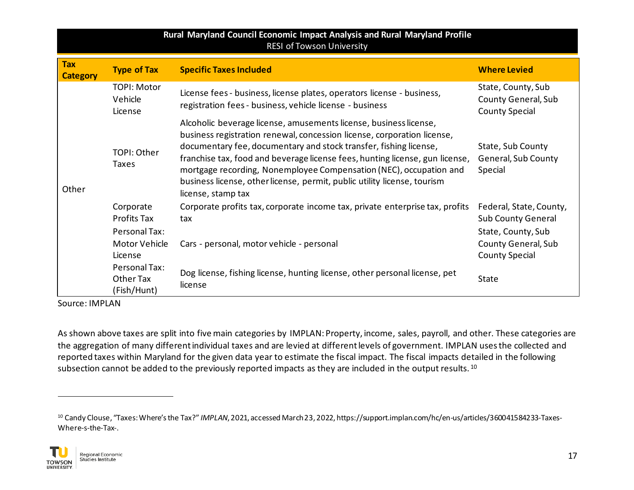|                               | Rural Maryland Council Economic Impact Analysis and Rural Maryland Profile<br><b>RESI of Towson University</b> |                                                                                                                                                                                                                                                                                                                                                                                                                                                                           |                                                                    |  |  |  |
|-------------------------------|----------------------------------------------------------------------------------------------------------------|---------------------------------------------------------------------------------------------------------------------------------------------------------------------------------------------------------------------------------------------------------------------------------------------------------------------------------------------------------------------------------------------------------------------------------------------------------------------------|--------------------------------------------------------------------|--|--|--|
| <b>Tax</b><br><b>Category</b> | <b>Type of Tax</b>                                                                                             | <b>Specific Taxes Included</b>                                                                                                                                                                                                                                                                                                                                                                                                                                            | <b>Where Levied</b>                                                |  |  |  |
|                               | <b>TOPI: Motor</b><br>Vehicle<br>License                                                                       | License fees - business, license plates, operators license - business,<br>registration fees - business, vehicle license - business                                                                                                                                                                                                                                                                                                                                        | State, County, Sub<br>County General, Sub<br><b>County Special</b> |  |  |  |
| Other                         | TOPI: Other<br><b>Taxes</b>                                                                                    | Alcoholic beverage license, amusements license, business license,<br>business registration renewal, concession license, corporation license,<br>documentary fee, documentary and stock transfer, fishing license,<br>franchise tax, food and beverage license fees, hunting license, gun license,<br>mortgage recording, Nonemployee Compensation (NEC), occupation and<br>business license, other license, permit, public utility license, tourism<br>license, stamp tax | State, Sub County<br>General, Sub County<br>Special                |  |  |  |
|                               | Corporate<br>Profits Tax                                                                                       | Corporate profits tax, corporate income tax, private enterprise tax, profits<br>tax                                                                                                                                                                                                                                                                                                                                                                                       | Federal, State, County,<br><b>Sub County General</b>               |  |  |  |
|                               | Personal Tax:<br>Motor Vehicle<br>License                                                                      | Cars - personal, motor vehicle - personal                                                                                                                                                                                                                                                                                                                                                                                                                                 | State, County, Sub<br>County General, Sub<br><b>County Special</b> |  |  |  |
|                               | Personal Tax:<br>Other Tax<br>(Fish/Hunt)                                                                      | Dog license, fishing license, hunting license, other personal license, pet<br>license                                                                                                                                                                                                                                                                                                                                                                                     | <b>State</b>                                                       |  |  |  |

Source: IMPLAN

As shown above taxes are split into five main categories by IMPLAN: Property, income, sales, payroll, and other. These categories are the aggregation of many different individual taxes and are levied at different levels of government. IMPLAN uses the collected and reported taxes within Maryland for the given data year to estimate the fiscal impact. The fiscal impacts detailed in the following subsection cannot be added to the previously reported impacts as they are included in the output results.<sup>10</sup>

<sup>&</sup>lt;sup>10</sup> Candy Clouse, "Taxes: Where's the Tax?" *IMPLAN*, 2021, accessed March 23, 2022, https://support.implan.com/hc/en-us/articles/360041584233-Taxes-Where-s-the-Tax-.

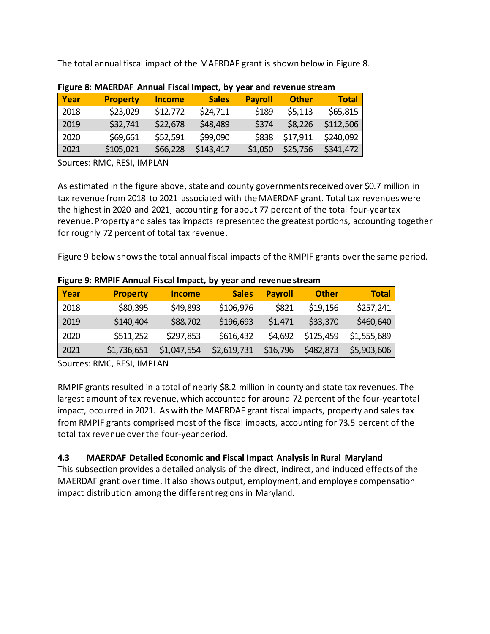| Figure 8: MAERDAF Annual Fiscal Impact, by year and revenue stream |                 |               |              |                |              |              |  |
|--------------------------------------------------------------------|-----------------|---------------|--------------|----------------|--------------|--------------|--|
| Year                                                               | <b>Property</b> | <b>Income</b> | <b>Sales</b> | <b>Payroll</b> | <b>Other</b> | <b>Total</b> |  |
| 2018                                                               | \$23,029        | \$12,772      | \$24,711     | \$189          | \$5,113      | \$65,815     |  |
| 2019                                                               | \$32,741        | \$22,678      | \$48,489     | \$374          | \$8,226      | \$112,506    |  |
| 2020                                                               | \$69,661        | \$52,591      | \$99,090     | \$838          | \$17,911     | \$240,092    |  |
| 2021                                                               | \$105,021       | \$66,228      | \$143,417    | \$1,050        | \$25,756     | \$341,472    |  |

The total annual fiscal impact of the MAERDAF grant is shown below in Figure 8.

Sources: RMC, RESI, IMPLAN

As estimated in the figure above, state and county governments received over \$0.7 million in tax revenue from 2018 to 2021 associated with the MAERDAF grant. Total tax revenues were the highest in 2020 and 2021, accounting for about 77 percent of the total four-year tax revenue. Property and sales tax impacts represented the greatest portions, accounting together for roughly 72 percent of total tax revenue.

Figure 9 below shows the total annual fiscal impacts of the RMPIF grants over the same period.

| Year | <b>Property</b> | <b>Income</b> | <b>Sales</b> | <b>Payroll</b> | <b>Other</b> | <b>Total</b> |
|------|-----------------|---------------|--------------|----------------|--------------|--------------|
| 2018 | \$80,395        | \$49,893      | \$106,976    | \$821          | \$19,156     | \$257,241    |
| 2019 | \$140,404       | \$88,702      | \$196,693    | \$1,471        | \$33,370     | \$460,640    |
| 2020 | \$511,252       | \$297,853     | \$616,432    | \$4,692        | \$125,459    | \$1,555,689  |
| 2021 | \$1,736,651     | \$1,047,554   | \$2,619,731  | \$16,796       | \$482,873    | \$5,903,606  |

#### **Figure 9: RMPIF Annual Fiscal Impact, by year and revenue stream**

Sources: RMC, RESI, IMPLAN

RMPIF grants resulted in a total of nearly \$8.2 million in county and state tax revenues. The largest amount of tax revenue, which accounted for around 72 percent of the four-year total impact, occurred in 2021. As with the MAERDAF grant fiscal impacts, property and sales tax from RMPIF grants comprised most of the fiscal impacts, accounting for 73.5 percent of the total tax revenue over the four-year period.

#### **4.3 MAERDAF Detailed Economic and Fiscal Impact Analysis in Rural Maryland**

This subsection provides a detailed analysis of the direct, indirect, and induced effects of the MAERDAF grant over time. It also shows output, employment, and employee compensation impact distribution among the different regions in Maryland.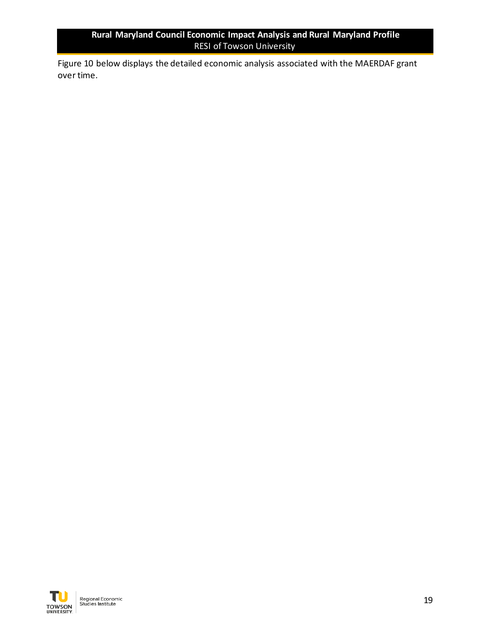Figure 10 below displays the detailed economic analysis associated with the MAERDAF grant over time.

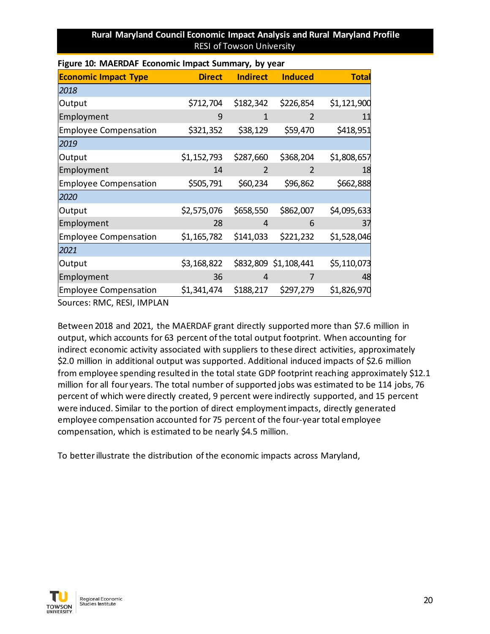| <b>Economic Impact Type</b>  | <b>Direct</b> | <b>Indirect</b> | <b>Induced</b>        | <b>Total</b> |
|------------------------------|---------------|-----------------|-----------------------|--------------|
| 2018                         |               |                 |                       |              |
| Output                       | \$712,704     | \$182,342       | \$226,854             | \$1,121,900  |
| Employment                   | 9             | 1               | $\overline{2}$        | 11           |
| <b>Employee Compensation</b> | \$321,352     | \$38,129        | \$59,470              | \$418,951    |
| 2019                         |               |                 |                       |              |
| Output                       | \$1,152,793   | \$287,660       | \$368,204             | \$1,808,657  |
| Employment                   | 14            | 2               | 2                     | 18           |
| <b>Employee Compensation</b> | \$505,791     | \$60,234        | \$96,862              | \$662,888    |
| 2020                         |               |                 |                       |              |
| Output                       | \$2,575,076   | \$658,550       | \$862,007             | \$4,095,633  |
| Employment                   | 28            | 4               | 6                     | 37           |
| <b>Employee Compensation</b> | \$1,165,782   | \$141,033       | \$221,232             | \$1,528,046  |
| 2021                         |               |                 |                       |              |
| Output                       | \$3,168,822   |                 | \$832,809 \$1,108,441 | \$5,110,073  |
| Employment                   | 36            | 4               | 7                     | 48           |
| <b>Employee Compensation</b> | \$1,341,474   | \$188,217       | \$297,279             | \$1,826,970  |

#### **Figure 10: MAERDAF Economic Impact Summary, by year**

Sources: RMC, RESI, IMPLAN

Between 2018 and 2021, the MAERDAF grant directly supportedmore than \$7.6 million in output, which accounts for 63 percent of the total output footprint. When accounting for indirect economic activity associated with suppliers to these direct activities, approximately \$2.0 million in additional output was supported. Additional induced impacts of \$2.6 million from employee spending resulted in the total state GDP footprint reaching approximately \$12.1 million for all four years. The total number of supported jobs was estimated to be 114 jobs, 76 percent of which were directly created, 9 percent were indirectly supported, and 15 percent were induced. Similar to the portion of direct employment impacts, directly generated employee compensation accounted for 75 percent of the four-year total employee compensation, which is estimated to be nearly \$4.5 million.

To better illustrate the distribution of the economic impacts across Maryland,

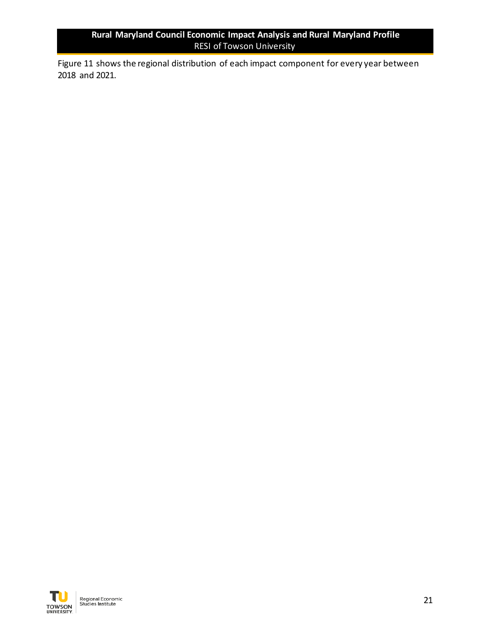Figure 11 shows the regional distribution of each impact component for every year between 2018 and 2021.

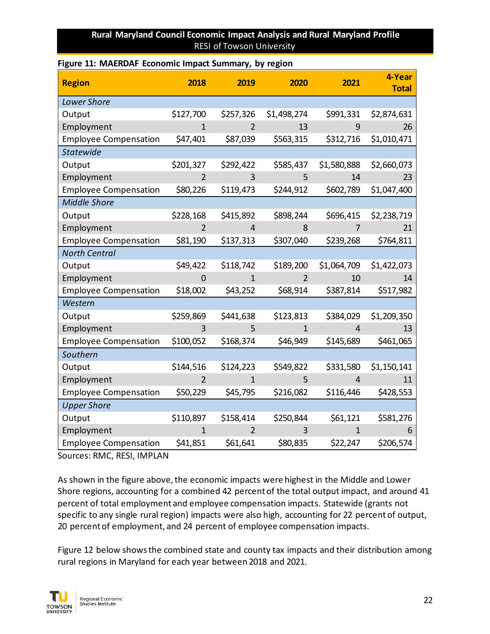#### **Figure 11: MAERDAF Economic Impact Summary, by region**

| <b>Region</b>                | 2018           | 2019           | 2020           | 2021           | 4-Year<br><b>Total</b> |
|------------------------------|----------------|----------------|----------------|----------------|------------------------|
| <b>Lower Shore</b>           |                |                |                |                |                        |
| Output                       | \$127,700      | \$257,326      | \$1,498,274    | \$991,331      | \$2,874,631            |
| Employment                   | $\mathbf{1}$   | 2              | 13             | 9              | 26                     |
| <b>Employee Compensation</b> | \$47,401       | \$87,039       | \$563,315      | \$312,716      | \$1,010,471            |
| <b>Statewide</b>             |                |                |                |                |                        |
| Output                       | \$201,327      | \$292,422      | \$585,437      | \$1,580,888    | \$2,660,073            |
| Employment                   | $\overline{2}$ | 3              | 5              | 14             | 23                     |
| <b>Employee Compensation</b> | \$80,226       | \$119,473      | \$244,912      | \$602,789      | \$1,047,400            |
| <b>Middle Shore</b>          |                |                |                |                |                        |
| Output                       | \$228,168      | \$415,892      | \$898,244      | \$696,415      | \$2,238,719            |
| Employment                   | $\overline{2}$ | 4              | 8              | 7              | 21                     |
| <b>Employee Compensation</b> | \$81,190       | \$137,313      | \$307,040      | \$239,268      | \$764,811              |
| <b>North Central</b>         |                |                |                |                |                        |
| Output                       | \$49,422       | \$118,742      | \$189,200      | \$1,064,709    | \$1,422,073            |
| Employment                   | $\overline{0}$ | $\mathbf{1}$   | $\overline{2}$ | 10             | 14                     |
| <b>Employee Compensation</b> | \$18,002       | \$43,252       | \$68,914       | \$387,814      | \$517,982              |
| Western                      |                |                |                |                |                        |
| Output                       | \$259,869      | \$441,638      | \$123,813      | \$384,029      | \$1,209,350            |
| Employment                   | 3              | 5              | $\mathbf{1}$   | $\overline{4}$ | 13                     |
| <b>Employee Compensation</b> | \$100,052      | \$168,374      | \$46,949       | \$145,689      | \$461,065              |
| Southern                     |                |                |                |                |                        |
| Output                       | \$144,516      | \$124,223      | \$549,822      | \$331,580      | \$1,150,141            |
| Employment                   | $\overline{2}$ | $\mathbf 1$    | 5              | 4              | 11                     |
| <b>Employee Compensation</b> | \$50,229       | \$45,795       | \$216,082      | \$116,446      | \$428,553              |
| <b>Upper Shore</b>           |                |                |                |                |                        |
| Output                       | \$110,897      | \$158,414      | \$250,844      | \$61,121       | \$581,276              |
| Employment                   | $\mathbf{1}$   | $\overline{2}$ | 3              | $\mathbf{1}$   | 6                      |
| <b>Employee Compensation</b> | \$41,851       | \$61,641       | \$80,835       | \$22,247       | \$206,574              |

Sources: RMC, RESI, IMPLAN

As shown in the figure above, the economic impacts were highest in the Middle and Lower Shore regions, accounting for a combined 42 percent of the total output impact, and around 41 percent of total employment and employee compensation impacts. Statewide (grants not specific to any single rural region) impacts were also high, accounting for 22 percent of output, 20 percent of employment, and 24 percent of employee compensation impacts.

Figure 12 below shows the combined state and county tax impacts and their distribution among rural regions in Maryland for each year between 2018 and 2021.

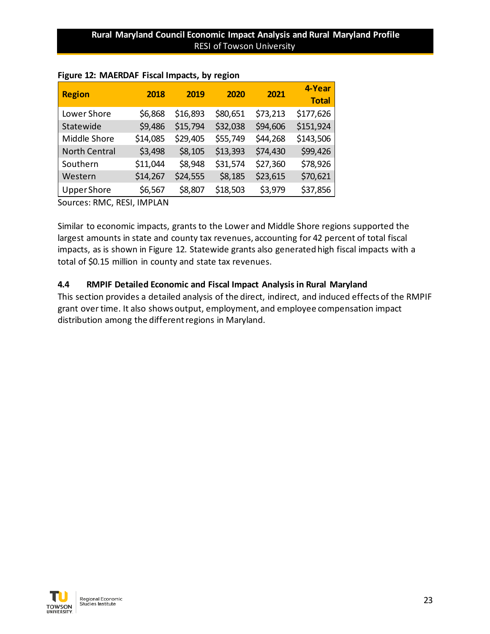| <b>Region</b>        | 2018     | 2019     | 2020     | 2021     | 4-Year<br><b>Total</b> |
|----------------------|----------|----------|----------|----------|------------------------|
| Lower Shore          | \$6,868  | \$16,893 | \$80,651 | \$73,213 | \$177,626              |
| Statewide            | \$9,486  | \$15,794 | \$32,038 | \$94,606 | \$151,924              |
| Middle Shore         | \$14,085 | \$29,405 | \$55,749 | \$44,268 | \$143,506              |
| <b>North Central</b> | \$3,498  | \$8,105  | \$13,393 | \$74,430 | \$99,426               |
| Southern             | \$11,044 | \$8,948  | \$31,574 | \$27,360 | \$78,926               |
| Western              | \$14,267 | \$24,555 | \$8,185  | \$23,615 | \$70,621               |
| <b>Upper Shore</b>   | \$6,567  | \$8,807  | \$18,503 | \$3,979  | \$37,856               |

#### **Figure 12: MAERDAF Fiscal Impacts, by region**

Sources: RMC, RESI, IMPLAN

Similar to economic impacts, grants to the Lower and Middle Shore regions supported the largest amounts in state and county tax revenues, accounting for 42 percent of total fiscal impacts, as is shown in Figure 12. Statewide grants also generated high fiscal impacts with a total of \$0.15 million in county and state tax revenues.

#### **4.4 RMPIF Detailed Economic and Fiscal Impact Analysis in Rural Maryland**

This section provides a detailed analysis of the direct, indirect, and induced effects of the RMPIF grant over time. It also shows output, employment, and employee compensation impact distribution among the different regions in Maryland.

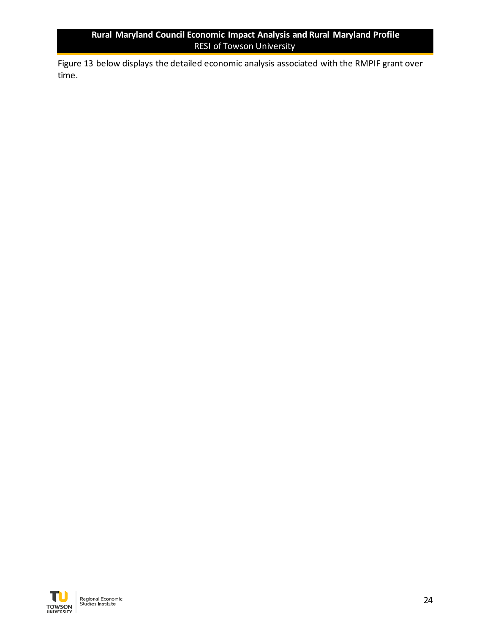Figure 13 below displays the detailed economic analysis associated with the RMPIF grant over time.

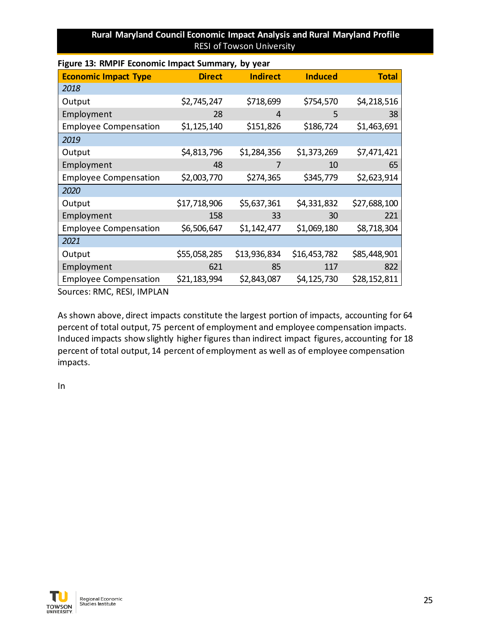| <b>Economic Impact Type</b>  | <b>Direct</b> | <b>Indirect</b> | <b>Induced</b> | <b>Total</b> |
|------------------------------|---------------|-----------------|----------------|--------------|
| 2018                         |               |                 |                |              |
| Output                       | \$2,745,247   | \$718,699       | \$754,570      | \$4,218,516  |
| Employment                   | 28            | 4               | 5              | 38           |
| <b>Employee Compensation</b> | \$1,125,140   | \$151,826       | \$186,724      | \$1,463,691  |
| 2019                         |               |                 |                |              |
| Output                       | \$4,813,796   | \$1,284,356     | \$1,373,269    | \$7,471,421  |
| Employment                   | 48            |                 | 10             | 65           |
| <b>Employee Compensation</b> | \$2,003,770   | \$274,365       | \$345,779      | \$2,623,914  |
| 2020                         |               |                 |                |              |
| Output                       | \$17,718,906  | \$5,637,361     | \$4,331,832    | \$27,688,100 |
| Employment                   | 158           | 33              | 30             | 221          |
| <b>Employee Compensation</b> | \$6,506,647   | \$1,142,477     | \$1,069,180    | \$8,718,304  |
| 2021                         |               |                 |                |              |
| Output                       | \$55,058,285  | \$13,936,834    | \$16,453,782   | \$85,448,901 |
| Employment                   | 621           | 85              | 117            | 822          |
| <b>Employee Compensation</b> | \$21,183,994  | \$2,843,087     | \$4,125,730    | \$28,152,811 |

## **Figure 13: RMPIF Economic Impact Summary, by year**

Sources: RMC, RESI, IMPLAN

As shown above, direct impacts constitute the largest portion of impacts, accounting for 64 percent of total output, 75 percent of employment and employee compensation impacts. Induced impacts show slightly higher figures than indirect impact figures, accounting for 18 percent of total output, 14 percent of employment as well as of employee compensation impacts.

In

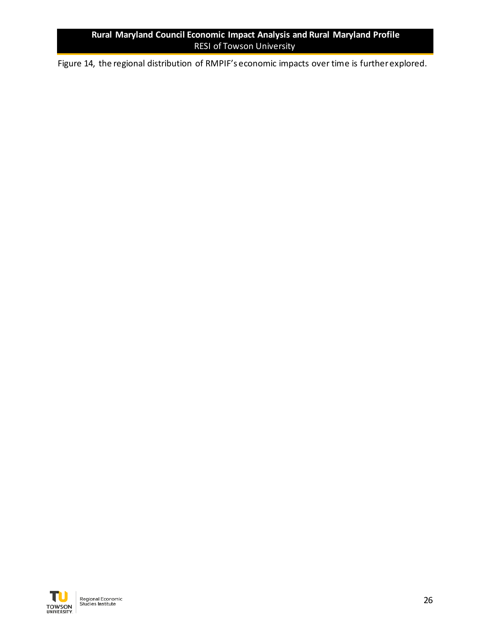Figure 14, the regional distribution of RMPIF's economic impacts over time is further explored.

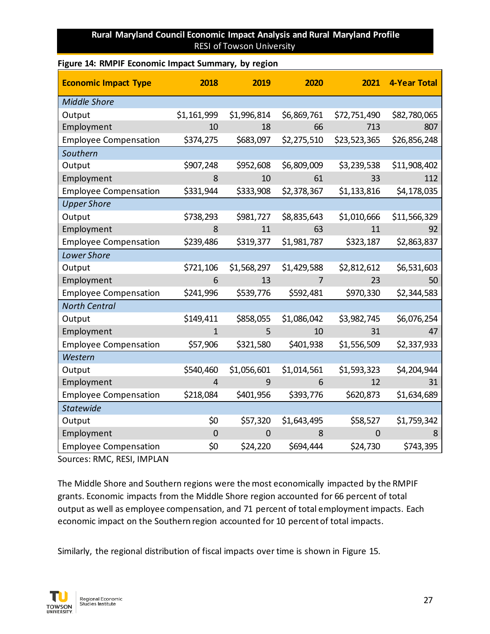#### **Figure 14: RMPIF Economic Impact Summary, by region**

| <b>Economic Impact Type</b>  | 2018           | 2019           | 2020           | 2021           | <b>4-Year Total</b> |
|------------------------------|----------------|----------------|----------------|----------------|---------------------|
| <b>Middle Shore</b>          |                |                |                |                |                     |
| Output                       | \$1,161,999    | \$1,996,814    | \$6,869,761    | \$72,751,490   | \$82,780,065        |
| Employment                   | 10             | 18             | 66             | 713            | 807                 |
| <b>Employee Compensation</b> | \$374,275      | \$683,097      | \$2,275,510    | \$23,523,365   | \$26,856,248        |
| Southern                     |                |                |                |                |                     |
| Output                       | \$907,248      | \$952,608      | \$6,809,009    | \$3,239,538    | \$11,908,402        |
| Employment                   | 8              | 10             | 61             | 33             | 112                 |
| <b>Employee Compensation</b> | \$331,944      | \$333,908      | \$2,378,367    | \$1,133,816    | \$4,178,035         |
| <b>Upper Shore</b>           |                |                |                |                |                     |
| Output                       | \$738,293      | \$981,727      | \$8,835,643    | \$1,010,666    | \$11,566,329        |
| Employment                   | 8              | 11             | 63             | 11             | 92                  |
| <b>Employee Compensation</b> | \$239,486      | \$319,377      | \$1,981,787    | \$323,187      | \$2,863,837         |
| <b>Lower Shore</b>           |                |                |                |                |                     |
| Output                       | \$721,106      | \$1,568,297    | \$1,429,588    | \$2,812,612    | \$6,531,603         |
| Employment                   | 6              | 13             | $\overline{7}$ | 23             | 50                  |
| <b>Employee Compensation</b> | \$241,996      | \$539,776      | \$592,481      | \$970,330      | \$2,344,583         |
| <b>North Central</b>         |                |                |                |                |                     |
| Output                       | \$149,411      | \$858,055      | \$1,086,042    | \$3,982,745    | \$6,076,254         |
| Employment                   | $\mathbf{1}$   | 5              | 10             | 31             | 47                  |
| <b>Employee Compensation</b> | \$57,906       | \$321,580      | \$401,938      | \$1,556,509    | \$2,337,933         |
| Western                      |                |                |                |                |                     |
| Output                       | \$540,460      | \$1,056,601    | \$1,014,561    | \$1,593,323    | \$4,204,944         |
| Employment                   | 4              | 9              | 6              | 12             | 31                  |
| <b>Employee Compensation</b> | \$218,084      | \$401,956      | \$393,776      | \$620,873      | \$1,634,689         |
| <b>Statewide</b>             |                |                |                |                |                     |
| Output                       | \$0            | \$57,320       | \$1,643,495    | \$58,527       | \$1,759,342         |
| Employment                   | $\overline{0}$ | $\overline{0}$ | 8              | $\overline{0}$ | 8                   |
| <b>Employee Compensation</b> | \$0            | \$24,220       | \$694,444      | \$24,730       | \$743,395           |

Sources: RMC, RESI, IMPLAN

The Middle Shore and Southern regions were the most economically impacted by the RMPIF grants. Economic impacts from the Middle Shore region accounted for 66 percent of total output as well as employee compensation, and 71 percent of total employment impacts. Each economic impact on the Southern region accounted for 10 percent of total impacts.

Similarly, the regional distribution of fiscal impacts over time is shown in Figure 15.

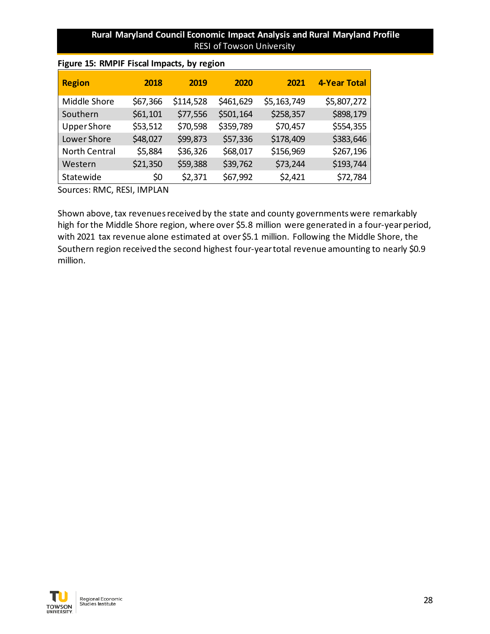| <b>Region</b>        | 2018     | 2019      | 2020      | 2021        | 4-Year Total |
|----------------------|----------|-----------|-----------|-------------|--------------|
| Middle Shore         | \$67,366 | \$114,528 | \$461,629 | \$5,163,749 | \$5,807,272  |
| Southern             | \$61,101 | \$77,556  | \$501,164 | \$258,357   | \$898,179    |
| <b>Upper Shore</b>   | \$53,512 | \$70,598  | \$359,789 | \$70,457    | \$554,355    |
| Lower Shore          | \$48,027 | \$99,873  | \$57,336  | \$178,409   | \$383,646    |
| <b>North Central</b> | \$5,884  | \$36,326  | \$68,017  | \$156,969   | \$267,196    |
| Western              | \$21,350 | \$59,388  | \$39,762  | \$73,244    | \$193,744    |
| Statewide            | \$0      | \$2,371   | \$67,992  | \$2,421     | \$72,784     |

#### **Figure 15: RMPIF Fiscal Impacts, by region**

Sources: RMC, RESI, IMPLAN

Shown above, tax revenues received by the state and county governments were remarkably high for the Middle Shore region, where over \$5.8 million were generated in a four-year period, with 2021 tax revenue alone estimated at over \$5.1 million. Following the Middle Shore, the Southern region received the second highest four-year total revenue amounting to nearly \$0.9 million.

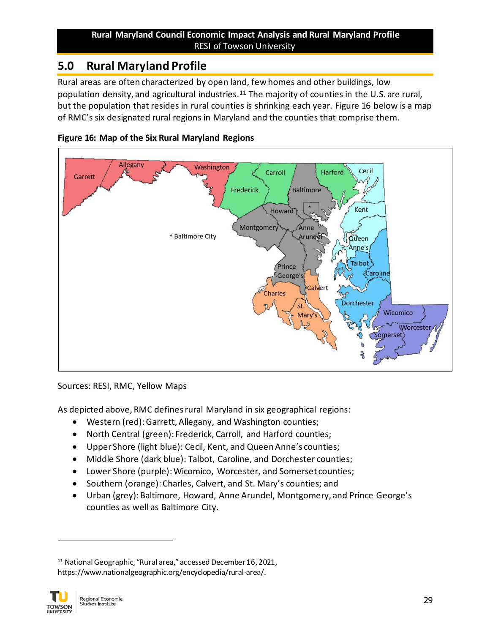# **5.0 Rural Maryland Profile**

Rural areas are often characterized by open land, few homes and other buildings, low population density, and agricultural industries.<sup>11</sup> The majority of counties in the U.S. are rural, but the population that resides in rural counties is shrinking each year. Figure 16 below is a map of RMC's six designated rural regions in Maryland and the counties that comprise them.





Sources: RESI, RMC, Yellow Maps

As depicted above, RMC defines rural Maryland in six geographical regions:

- Western (red): Garrett, Allegany, and Washington counties;
- North Central (green): Frederick, Carroll, and Harford counties;
- Upper Shore (light blue): Cecil, Kent, and Queen Anne's counties;
- Middle Shore (dark blue): Talbot, Caroline, and Dorchester counties;
- Lower Shore (purple): Wicomico, Worcester, and Somerset counties;
- Southern (orange): Charles, Calvert, and St. Mary's counties; and
- Urban (grey): Baltimore, Howard, Anne Arundel, Montgomery, and Prince George's counties as well as Baltimore City.

<sup>11</sup> National Geographic, "Rural area," accessed December 16, 2021, https://www.nationalgeographic.org/encyclopedia/rural-area/.

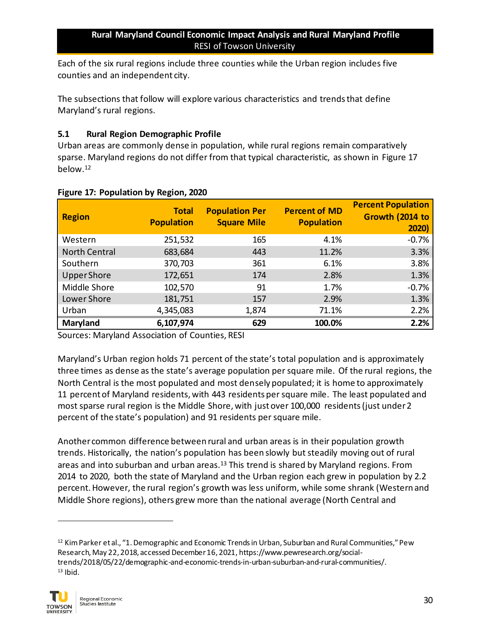Each of the six rural regions include three counties while the Urban region includes five counties and an independent city.

The subsections that follow will explore various characteristics and trends that define Maryland's rural regions.

## **5.1 Rural Region Demographic Profile**

Urban areas are commonly dense in population, while rural regions remain comparatively sparse. Maryland regions do not differ from that typical characteristic, as shown in Figure 17 below.<sup>12</sup>

| Region               | <b>Total</b><br><b>Population</b> | <b>Population Per</b><br><b>Square Mile</b> | <b>Percent of MD</b><br><b>Population</b> | <b>Percent Population</b><br>Growth (2014 to<br>2020) |
|----------------------|-----------------------------------|---------------------------------------------|-------------------------------------------|-------------------------------------------------------|
| Western              | 251,532                           | 165                                         | 4.1%                                      | $-0.7%$                                               |
| <b>North Central</b> | 683,684                           | 443                                         | 11.2%                                     | 3.3%                                                  |
| Southern             | 370,703                           | 361                                         | 6.1%                                      | 3.8%                                                  |
| <b>Upper Shore</b>   | 172,651                           | 174                                         | 2.8%                                      | 1.3%                                                  |
| Middle Shore         | 102,570                           | 91                                          | 1.7%                                      | $-0.7%$                                               |
| Lower Shore          | 181,751                           | 157                                         | 2.9%                                      | 1.3%                                                  |
| Urban                | 4,345,083                         | 1,874                                       | 71.1%                                     | 2.2%                                                  |
| Maryland             | 6,107,974                         | 629                                         | 100.0%                                    | 2.2%                                                  |

## **Figure 17: Population by Region, 2020**

Sources: Maryland Association of Counties, RESI

Maryland's Urban region holds 71 percent of the state's total population and is approximately three times as dense as the state's average population per square mile. Of the rural regions, the North Central is the most populated and most densely populated; it is home to approximately 11 percent of Maryland residents, with 443 residents per square mile. The least populated and most sparse rural region is the Middle Shore, with just over 100,000 residents (just under 2 percent of the state's population) and 91 residents per square mile.

Another common difference between rural and urban areas is in their population growth trends. Historically, the nation's population has been slowly but steadily moving out of rural areas and into suburban and urban areas.<sup>13</sup> This trend is shared by Maryland regions. From 2014 to 2020, both the state of Maryland and the Urban region each grew in population by 2.2 percent. However, the rural region's growth was less uniform, while some shrank (Western and Middle Shore regions), others grew more than the national average (North Central and

<sup>&</sup>lt;sup>12</sup> Kim Parker et al., "1. Demographic and Economic Trends in Urban, Suburban and Rural Communities," Pew Research, May 22, 2018, accessed December 16, 2021, https://www.pewresearch.org/socialtrends/2018/05/22/demographic-and-economic-trends-in-urban-suburban-and-rural-communities/.  $13$  Ibid.

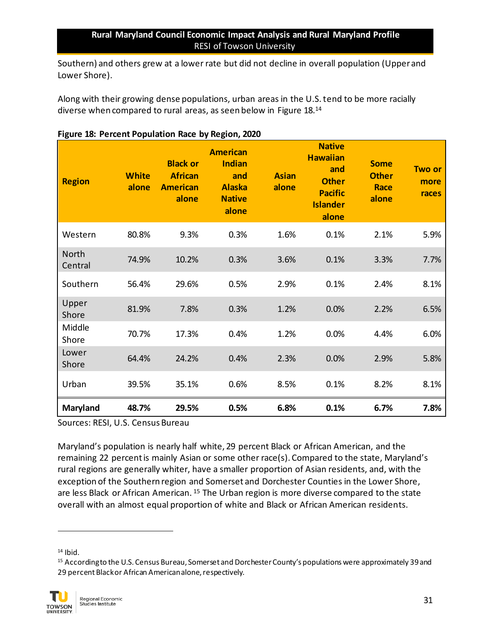Southern) and others grew at a lower rate but did not decline in overall population (Upper and Lower Shore).

Along with their growing dense populations, urban areas in the U.S. tend to be more racially diverse when compared to rural areas, as seen below in Figure 18. 14

| <b>Region</b>    | <b>White</b><br>alone | <b>Black or</b><br><b>African</b><br><b>American</b><br>alone | <b>American</b><br><b>Indian</b><br>and<br><b>Alaska</b><br><b>Native</b><br>alone | <b>Asian</b><br>alone | <b>Native</b><br><b>Hawaiian</b><br>and<br><b>Other</b><br><b>Pacific</b><br><b>Islander</b><br>alone | <b>Some</b><br><b>Other</b><br><b>Race</b><br>alone | <b>Two or</b><br>more<br>races |
|------------------|-----------------------|---------------------------------------------------------------|------------------------------------------------------------------------------------|-----------------------|-------------------------------------------------------------------------------------------------------|-----------------------------------------------------|--------------------------------|
| Western          | 80.8%                 | 9.3%                                                          | 0.3%                                                                               | 1.6%                  | 0.1%                                                                                                  | 2.1%                                                | 5.9%                           |
| North<br>Central | 74.9%                 | 10.2%                                                         | 0.3%                                                                               | 3.6%                  | 0.1%                                                                                                  | 3.3%                                                | 7.7%                           |
| Southern         | 56.4%                 | 29.6%                                                         | 0.5%                                                                               | 2.9%                  | 0.1%                                                                                                  | 2.4%                                                | 8.1%                           |
| Upper<br>Shore   | 81.9%                 | 7.8%                                                          | 0.3%                                                                               | 1.2%                  | 0.0%                                                                                                  | 2.2%                                                | 6.5%                           |
| Middle<br>Shore  | 70.7%                 | 17.3%                                                         | 0.4%                                                                               | 1.2%                  | 0.0%                                                                                                  | 4.4%                                                | 6.0%                           |
| Lower<br>Shore   | 64.4%                 | 24.2%                                                         | 0.4%                                                                               | 2.3%                  | 0.0%                                                                                                  | 2.9%                                                | 5.8%                           |
| Urban            | 39.5%                 | 35.1%                                                         | 0.6%                                                                               | 8.5%                  | 0.1%                                                                                                  | 8.2%                                                | 8.1%                           |
| <b>Maryland</b>  | 48.7%                 | 29.5%                                                         | 0.5%                                                                               | 6.8%                  | 0.1%                                                                                                  | 6.7%                                                | 7.8%                           |

## **Figure 18: Percent Population Race by Region, 2020**

Sources: RESI, U.S. Census Bureau

Maryland's population is nearly half white, 29 percent Black or African American, and the remaining 22 percent is mainly Asian or some other race(s). Compared to the state, Maryland's rural regions are generally whiter, have a smaller proportion of Asian residents, and, with the exception of the Southern region and Somerset and Dorchester Counties in the Lower Shore, are less Black or African American. <sup>15</sup> The Urban region is more diverse compared to the state overall with an almost equal proportion of white and Black or African American residents.

<sup>15</sup> According to the U.S. Census Bureau, Somerset and Dorchester County's populations were approximately 39 and 29 percent Black or African American alone, respectively.



 $14$  Ibid.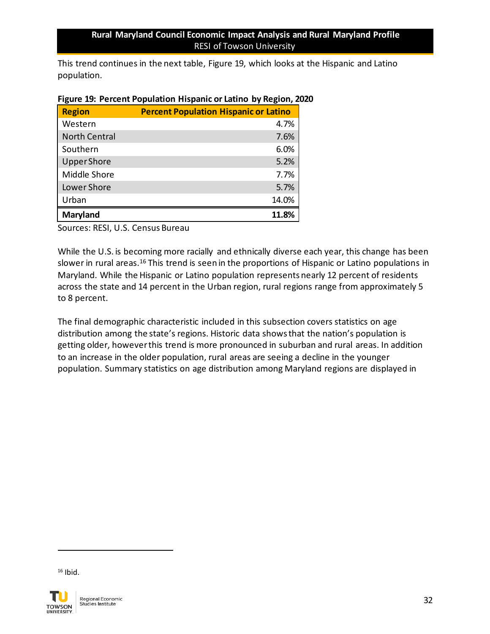This trend continues in the next table, Figure 19, which looks at the Hispanic and Latino population.

| <b>Region</b>        | <b>Percent Population Hispanic or Latino</b> |       |
|----------------------|----------------------------------------------|-------|
| Western              |                                              | 4.7%  |
| <b>North Central</b> |                                              | 7.6%  |
| Southern             |                                              | 6.0%  |
| <b>Upper Shore</b>   |                                              | 5.2%  |
| Middle Shore         |                                              | 7.7%  |
| Lower Shore          |                                              | 5.7%  |
| Urban                |                                              | 14.0% |
| <b>Maryland</b>      |                                              | 11.8% |

#### **Figure 19: Percent Population Hispanic or Latino by Region, 2020**

Sources: RESI, U.S. Census Bureau

While the U.S. is becoming more racially and ethnically diverse each year, this change has been slower in rural areas.<sup>16</sup> This trend is seen in the proportions of Hispanic or Latino populations in Maryland. While the Hispanic or Latino population represents nearly 12 percent of residents across the state and 14 percent in the Urban region, rural regions range from approximately 5 to 8 percent.

The final demographic characteristic included in this subsection covers statistics on age distribution among the state's regions. Historic data shows that the nation's population is getting older, however this trend is more pronounced in suburban and rural areas. In addition to an increase in the older population, rural areas are seeing a decline in the younger population. Summary statistics on age distribution among Maryland regions are displayed in

 $16$  Ibid.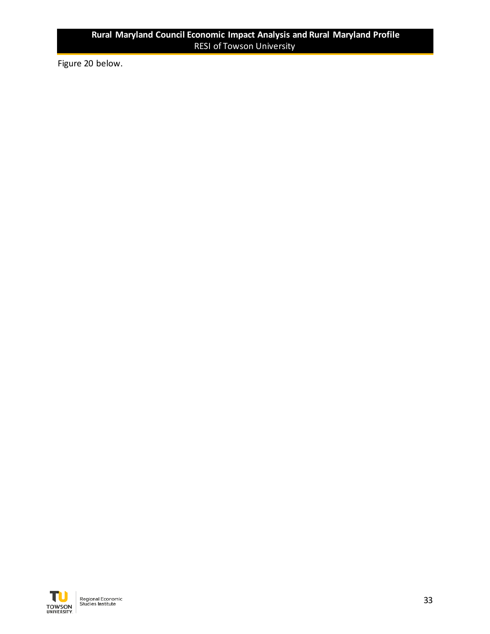Figure 20 below.

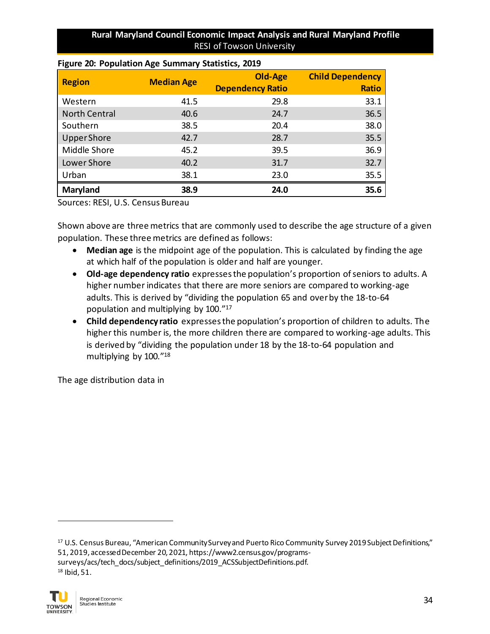| $\ldots$             |                   |                                    |                                         |
|----------------------|-------------------|------------------------------------|-----------------------------------------|
| <b>Region</b>        | <b>Median Age</b> | Old-Age<br><b>Dependency Ratio</b> | <b>Child Dependency</b><br><b>Ratio</b> |
| Western              | 41.5              | 29.8                               | 33.1                                    |
| <b>North Central</b> | 40.6              | 24.7                               | 36.5                                    |
| Southern             | 38.5              | 20.4                               | 38.0                                    |
| <b>Upper Shore</b>   | 42.7              | 28.7                               | 35.5                                    |
| Middle Shore         | 45.2              | 39.5                               | 36.9                                    |
| Lower Shore          | 40.2              | 31.7                               | 32.7                                    |
| Urban                | 38.1              | 23.0                               | 35.5                                    |
| <b>Maryland</b>      | 38.9              | 24.0                               | 35.6                                    |

#### **Figure 20: Population Age Summary Statistics, 2019**

Sources: RESI, U.S. Census Bureau

Shown above are three metrics that are commonly used to describe the age structure of a given population. These three metrics are defined as follows:

- **Median age** is the midpoint age of the population. This is calculated by finding the age at which half of the population is older and half are younger.
- **Old-age dependency ratio** expresses the population's proportion of seniors to adults. A higher number indicates that there are more seniors are compared to working-age adults. This is derived by "dividing the population 65 and over by the 18-to-64 population and multiplying by 100."<sup>17</sup>
- **Child dependency ratio** expresses the population's proportion of children to adults. The higher this number is, the more children there are compared to working-age adults. This is derived by "dividing the population under 18 by the 18-to-64 population and multiplying by 100." 18

The age distribution data in

<sup>17</sup> U.S. Census Bureau, "American Community Survey and Puerto Rico Community Survey 2019 Subject Definitions," 51, 2019, accessed December 20, 2021, https://www2.census.gov/programssurveys/acs/tech\_docs/subject\_definitions/2019\_ACSSubjectDefinitions.pdf.  $18$  Ibid, 51.

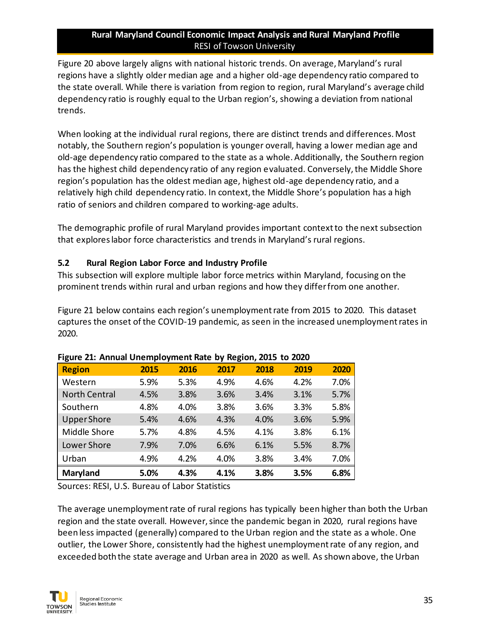Figure 20 above largely aligns with national historic trends. On average, Maryland's rural regions have a slightly older median age and a higher old-age dependency ratio compared to the state overall. While there is variation from region to region, rural Maryland's average child dependency ratio is roughly equal to the Urban region's, showing a deviation from national trends.

When looking at the individual rural regions, there are distinct trends and differences. Most notably, the Southern region's population is younger overall, having a lower median age and old-age dependency ratio compared to the state as a whole. Additionally, the Southern region has the highest child dependency ratio of any region evaluated. Conversely, the Middle Shore region's population has the oldest median age, highest old-age dependency ratio, and a relatively high child dependency ratio. In context, the Middle Shore's population has a high ratio of seniors and children compared to working-age adults.

The demographic profile of rural Maryland provides important context to the next subsection that explores labor force characteristics and trends in Maryland's rural regions.

## **5.2 Rural Region Labor Force and Industry Profile**

This subsection will explore multiple labor force metrics within Maryland, focusing on the prominent trends within rural and urban regions and how they differ from one another.

Figure 21 below contains each region's unemployment rate from 2015 to 2020. This dataset captures the onset of the COVID-19 pandemic, as seen in the increased unemployment rates in 2020.

| Figure 21: Annual Unemployment Rate by Region, 2015 to 2020 |      |      |      |      |      |      |
|-------------------------------------------------------------|------|------|------|------|------|------|
| <b>Region</b>                                               | 2015 | 2016 | 2017 | 2018 | 2019 | 2020 |
| Western                                                     | 5.9% | 5.3% | 4.9% | 4.6% | 4.2% | 7.0% |
| <b>North Central</b>                                        | 4.5% | 3.8% | 3.6% | 3.4% | 3.1% | 5.7% |
| Southern                                                    | 4.8% | 4.0% | 3.8% | 3.6% | 3.3% | 5.8% |
| <b>Upper Shore</b>                                          | 5.4% | 4.6% | 4.3% | 4.0% | 3.6% | 5.9% |
| Middle Shore                                                | 5.7% | 4.8% | 4.5% | 4.1% | 3.8% | 6.1% |
| Lower Shore                                                 | 7.9% | 7.0% | 6.6% | 6.1% | 5.5% | 8.7% |
| Urban                                                       | 4.9% | 4.2% | 4.0% | 3.8% | 3.4% | 7.0% |
| <b>Maryland</b>                                             | 5.0% | 4.3% | 4.1% | 3.8% | 3.5% | 6.8% |

### **Figure 21: Annual Unemployment Rate by Region, 2015 to 2020**

Sources: RESI, U.S. Bureau of Labor Statistics

The average unemployment rate of rural regions has typically been higher than both the Urban region and the state overall. However, since the pandemic began in 2020, rural regions have been less impacted (generally) compared to the Urban region and the state as a whole. One outlier, the Lower Shore, consistently had the highest unemployment rate of any region, and exceeded both the state average and Urban area in 2020 as well. As shown above, the Urban

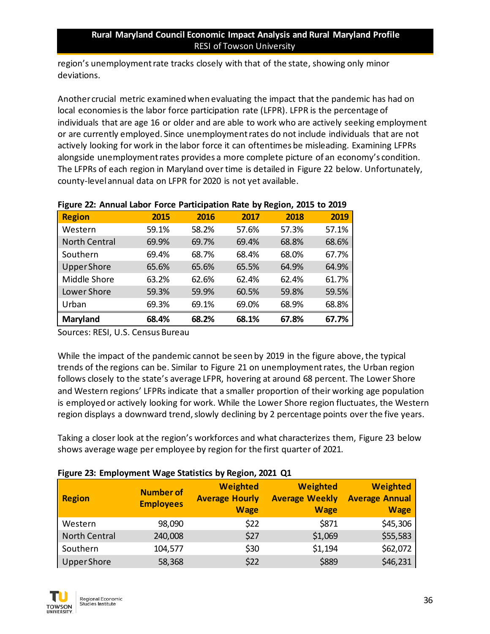region's unemployment rate tracks closely with that of the state, showing only minor deviations.

Another crucial metric examined when evaluating the impact that the pandemic has had on local economies is the labor force participation rate (LFPR). LFPR is the percentage of individuals that are age 16 or older and are able to work who are actively seeking employment or are currently employed. Since unemployment rates do not include individuals that are not actively looking for work in the labor force it can oftentimes be misleading. Examining LFPRs alongside unemployment rates provides a more complete picture of an economy's condition. The LFPRs of each region in Maryland over time is detailed in Figure 22 below. Unfortunately, county-level annual data on LFPR for 2020 is not yet available.

| <b>Region</b>        | 2015  | 2016  | 2017  | 2018  | 2019  |
|----------------------|-------|-------|-------|-------|-------|
| Western              | 59.1% | 58.2% | 57.6% | 57.3% | 57.1% |
| <b>North Central</b> | 69.9% | 69.7% | 69.4% | 68.8% | 68.6% |
| Southern             | 69.4% | 68.7% | 68.4% | 68.0% | 67.7% |
| <b>Upper Shore</b>   | 65.6% | 65.6% | 65.5% | 64.9% | 64.9% |
| Middle Shore         | 63.2% | 62.6% | 62.4% | 62.4% | 61.7% |
| Lower Shore          | 59.3% | 59.9% | 60.5% | 59.8% | 59.5% |
| Urban                | 69.3% | 69.1% | 69.0% | 68.9% | 68.8% |
| Maryland             | 68.4% | 68.2% | 68.1% | 67.8% | 67.7% |

#### **Figure 22: Annual Labor Force Participation Rate by Region, 2015 to 2019**

Sources: RESI, U.S. Census Bureau

While the impact of the pandemic cannot be seen by 2019 in the figure above, the typical trends of the regions can be. Similar to Figure 21 on unemployment rates, the Urban region follows closely to the state's average LFPR, hovering at around 68 percent. The Lower Shore and Western regions' LFPRs indicate that a smaller proportion of their working age population is employed or actively looking for work. While the Lower Shore region fluctuates, the Western region displays a downward trend, slowly declining by 2 percentage points over the five years.

Taking a closer look at the region's workforces and what characterizes them, Figure 23 below shows average wage per employee by region for the first quarter of 2021.

| <b>Region</b>        | <b>Number of</b><br><b>Employees</b> | <b>Weighted</b><br><b>Average Hourly</b><br><b>Wage</b> | <b>Weighted</b><br><b>Average Weekly</b><br><b>Wage</b> | <b>Weighted</b><br><b>Average Annual</b><br><b>Wage</b> |
|----------------------|--------------------------------------|---------------------------------------------------------|---------------------------------------------------------|---------------------------------------------------------|
| Western              | 98,090                               | \$22                                                    | \$871                                                   | \$45,306                                                |
| <b>North Central</b> | 240,008                              | \$27                                                    | \$1,069                                                 | \$55,583                                                |
| Southern             | 104,577                              | \$30                                                    | \$1,194                                                 | \$62,072                                                |
| Upper Shore          | 58,368                               | \$22                                                    | \$889                                                   | \$46,231                                                |

## **Figure 23: Employment Wage Statistics by Region, 2021 Q1**

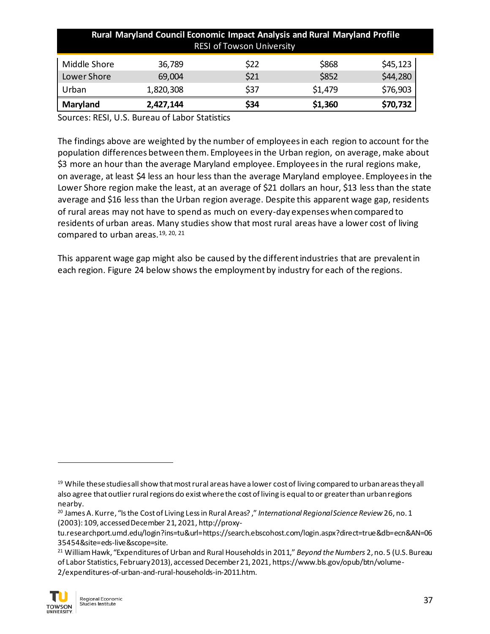| Rural Maryland Council Economic Impact Analysis and Rural Maryland Profile<br><b>RESI of Towson University</b> |                  |              |                |                      |  |
|----------------------------------------------------------------------------------------------------------------|------------------|--------------|----------------|----------------------|--|
| Middle Shore<br>Lower Shore                                                                                    | 36,789<br>69,004 | \$22<br>\$21 | \$868<br>\$852 | \$45,123<br>\$44,280 |  |
| Urban                                                                                                          | 1,820,308        | \$37         | \$1,479        | \$76,903             |  |
| Maryland                                                                                                       | 2,427,144        | \$34         | \$1,360        | \$70,732             |  |

Sources: RESI, U.S. Bureau of Labor Statistics

The findings above are weighted by the number of employees in each region to account for the population differences between them. Employees in the Urban region, on average, make about \$3 more an hour than the average Maryland employee. Employees in the rural regions make, on average, at least \$4 less an hour less than the average Maryland employee. Employees in the Lower Shore region make the least, at an average of \$21 dollars an hour, \$13 less than the state average and \$16 less than the Urban region average. Despite this apparent wage gap, residents of rural areas may not have to spend as much on every-day expenses when compared to residents of urban areas. Many studies show that most rural areas have a lower cost of living compared to urban areas.19, 20, 21

This apparent wage gap might also be caused by the different industries that are prevalent in each region. Figure 24 below shows the employment by industry for each of the regions.

<sup>21</sup> William Hawk, "Expenditures of Urban and Rural Households in 2011," *Beyond the Numbers* 2, no. 5 (U.S. Bureau of Labor Statistics, February 2013), accessed December 21, 2021, https://www.bls.gov/opub/btn/volume-2/expenditures-of-urban-and-rural-households-in-2011.htm.



 $19$  While these studies all show that most rural areas have a lower cost of living compared to urban areas they all also agree that outlier rural regions do exist where the cost of living is equal to or greater than urban regions nearby.

<sup>20</sup> James A. Kurre, "Is the Cost of Living Less in Rural Areas? ," *International Regional Science Review*26, no. 1 (2003): 109, accessed December 21, 2021, http://proxy-

tu.researchport.umd.edu/login?ins=tu&url=https://search.ebscohost.com/login.aspx?direct=true&db=ecn&AN=06 35454&site=eds-live&scope=site.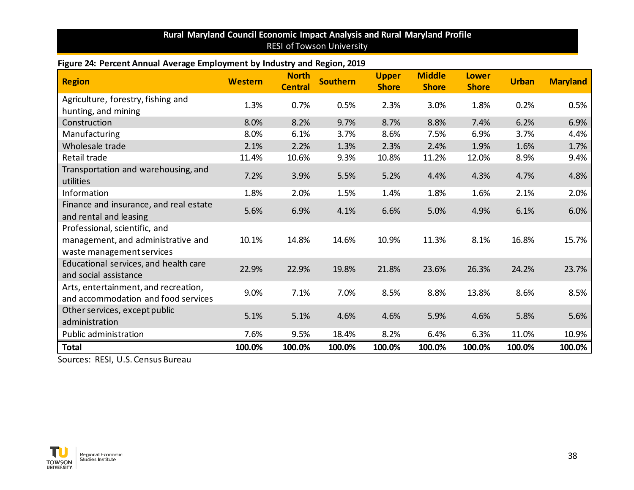## **Figure 24: Percent Annual Average Employment by Industry and Region, 2019**

| <b>Region</b>                                                                                    | <b>Western</b> | <b>North</b><br><b>Central</b> | <b>Southern</b> | <b>Upper</b><br><b>Shore</b> | <b>Middle</b><br><b>Shore</b> | <b>Lower</b><br><b>Shore</b> | <b>Urban</b> | <b>Maryland</b> |
|--------------------------------------------------------------------------------------------------|----------------|--------------------------------|-----------------|------------------------------|-------------------------------|------------------------------|--------------|-----------------|
| Agriculture, forestry, fishing and<br>hunting, and mining                                        | 1.3%           | 0.7%                           | 0.5%            | 2.3%                         | 3.0%                          | 1.8%                         | 0.2%         | 0.5%            |
| Construction                                                                                     | 8.0%           | 8.2%                           | 9.7%            | 8.7%                         | 8.8%                          | 7.4%                         | 6.2%         | 6.9%            |
| Manufacturing                                                                                    | 8.0%           | 6.1%                           | 3.7%            | 8.6%                         | 7.5%                          | 6.9%                         | 3.7%         | 4.4%            |
| Wholesale trade                                                                                  | 2.1%           | 2.2%                           | 1.3%            | 2.3%                         | 2.4%                          | 1.9%                         | 1.6%         | 1.7%            |
| Retail trade                                                                                     | 11.4%          | 10.6%                          | 9.3%            | 10.8%                        | 11.2%                         | 12.0%                        | 8.9%         | 9.4%            |
| Transportation and warehousing, and<br>utilities                                                 | 7.2%           | 3.9%                           | 5.5%            | 5.2%                         | 4.4%                          | 4.3%                         | 4.7%         | 4.8%            |
| Information                                                                                      | 1.8%           | 2.0%                           | 1.5%            | 1.4%                         | 1.8%                          | 1.6%                         | 2.1%         | 2.0%            |
| Finance and insurance, and real estate<br>and rental and leasing                                 | 5.6%           | 6.9%                           | 4.1%            | 6.6%                         | 5.0%                          | 4.9%                         | 6.1%         | 6.0%            |
| Professional, scientific, and<br>management, and administrative and<br>waste management services | 10.1%          | 14.8%                          | 14.6%           | 10.9%                        | 11.3%                         | 8.1%                         | 16.8%        | 15.7%           |
| Educational services, and health care<br>and social assistance                                   | 22.9%          | 22.9%                          | 19.8%           | 21.8%                        | 23.6%                         | 26.3%                        | 24.2%        | 23.7%           |
| Arts, entertainment, and recreation,<br>and accommodation and food services                      | 9.0%           | 7.1%                           | 7.0%            | 8.5%                         | 8.8%                          | 13.8%                        | 8.6%         | 8.5%            |
| Other services, except public<br>administration                                                  | 5.1%           | 5.1%                           | 4.6%            | 4.6%                         | 5.9%                          | 4.6%                         | 5.8%         | 5.6%            |
| Public administration                                                                            | 7.6%           | 9.5%                           | 18.4%           | 8.2%                         | 6.4%                          | 6.3%                         | 11.0%        | 10.9%           |
| <b>Total</b>                                                                                     | 100.0%         | 100.0%                         | 100.0%          | 100.0%                       | 100.0%                        | 100.0%                       | 100.0%       | 100.0%          |

Sources: RESI, U.S. Census Bureau

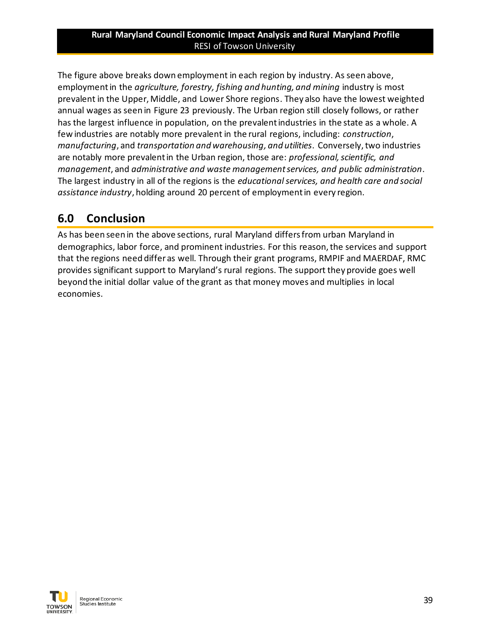The figure above breaks down employment in each region by industry. As seen above, employment in the *agriculture, forestry, fishing and hunting, and mining* industry is most prevalent in the Upper, Middle, and Lower Shore regions. They also have the lowest weighted annual wages as seen in Figure 23 previously. The Urban region still closely follows, or rather has the largest influence in population, on the prevalent industries in the state as a whole. A few industries are notably more prevalent in the rural regions, including: *construction*, *manufacturing*, and *transportation and warehousing, and utilities*. Conversely, two industries are notably more prevalent in the Urban region, those are: *professional, scientific, and management*, and *administrative and waste management services, and public administration*. The largest industry in all of the regions is the *educational services, and health care and social assistance industry*, holding around 20 percent of employment in every region.

# **6.0 Conclusion**

As has been seen in the above sections, rural Maryland differs from urban Maryland in demographics, labor force, and prominent industries. For this reason, the services and support that the regions need differ as well. Through their grant programs, RMPIF and MAERDAF, RMC provides significant support to Maryland's rural regions. The support they provide goes well beyond the initial dollar value of the grant as that money moves and multiplies in local economies.

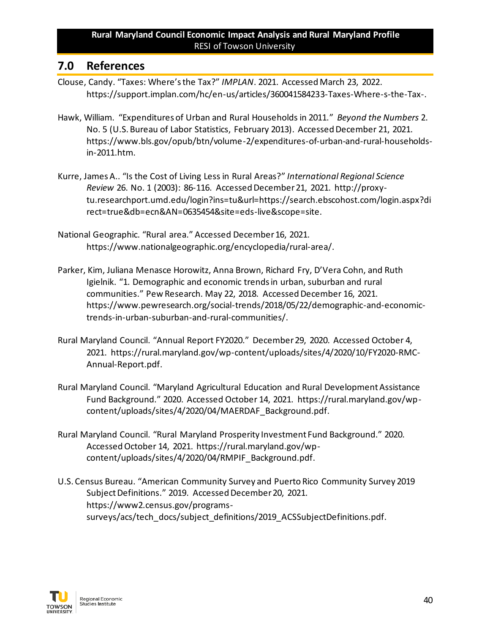# **7.0 References**

- Clouse, Candy. "Taxes: Where's the Tax?" *IMPLAN*. 2021. Accessed March 23, 2022. https://support.implan.com/hc/en-us/articles/360041584233-Taxes-Where-s-the-Tax-.
- Hawk, William. "Expenditures of Urban and Rural Households in 2011." *Beyond the Numbers* 2. No. 5 (U.S. Bureau of Labor Statistics, February 2013). Accessed December 21, 2021. https://www.bls.gov/opub/btn/volume-2/expenditures-of-urban-and-rural-householdsin-2011.htm.
- Kurre, James A.. "Is the Cost of Living Less in Rural Areas?" *International Regional Science Review* 26. No. 1 (2003): 86-116. Accessed December 21, 2021. http://proxytu.researchport.umd.edu/login?ins=tu&url=https://search.ebscohost.com/login.aspx?di rect=true&db=ecn&AN=0635454&site=eds-live&scope=site.
- National Geographic. "Rural area." Accessed December 16, 2021. https://www.nationalgeographic.org/encyclopedia/rural-area/.
- Parker, Kim, Juliana Menasce Horowitz, Anna Brown, Richard Fry, D'Vera Cohn, and Ruth Igielnik. "1. Demographic and economic trends in urban, suburban and rural communities." Pew Research. May 22, 2018. Accessed December 16, 2021. https://www.pewresearch.org/social-trends/2018/05/22/demographic-and-economictrends-in-urban-suburban-and-rural-communities/.
- Rural Maryland Council. "Annual Report FY2020." December 29, 2020. Accessed October 4, 2021. https://rural.maryland.gov/wp-content/uploads/sites/4/2020/10/FY2020-RMC-Annual-Report.pdf.
- Rural Maryland Council. "Maryland Agricultural Education and Rural Development Assistance Fund Background." 2020. Accessed October 14, 2021. https://rural.maryland.gov/wpcontent/uploads/sites/4/2020/04/MAERDAF\_Background.pdf.
- Rural Maryland Council. "Rural Maryland Prosperity Investment Fund Background." 2020. Accessed October 14, 2021. https://rural.maryland.gov/wpcontent/uploads/sites/4/2020/04/RMPIF\_Background.pdf.
- U.S. Census Bureau. "American Community Survey and Puerto Rico Community Survey 2019 Subject Definitions." 2019. Accessed December 20, 2021. https://www2.census.gov/programssurveys/acs/tech\_docs/subject\_definitions/2019\_ACSSubjectDefinitions.pdf.

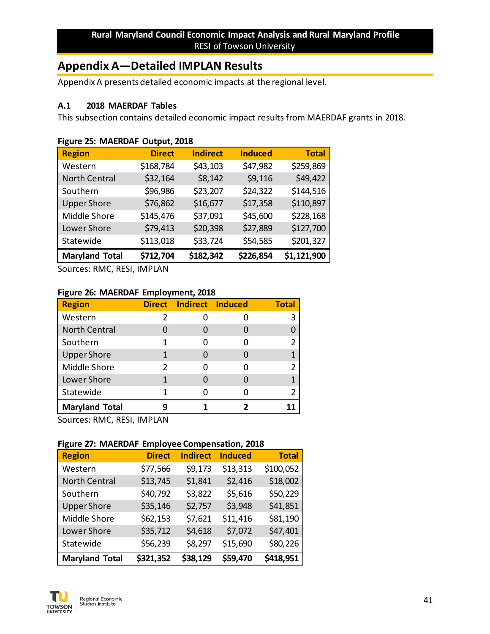# **Appendix A—Detailed IMPLAN Results**

Appendix A presents detailed economic impacts at the regional level.

#### **A.1 2018 MAERDAF Tables**

This subsection contains detailed economic impact results from MAERDAF grants in 2018.

| Region                | <b>Direct</b> | <b>Indirect</b> | <b>Induced</b> | <b>Total</b> |
|-----------------------|---------------|-----------------|----------------|--------------|
| Western               | \$168,784     | \$43,103        | \$47,982       | \$259,869    |
| <b>North Central</b>  | \$32,164      | \$8,142         | \$9,116        | \$49,422     |
| Southern              | \$96,986      | \$23,207        | \$24,322       | \$144,516    |
| <b>Upper Shore</b>    | \$76,862      | \$16,677        | \$17,358       | \$110,897    |
| Middle Shore          | \$145,476     | \$37,091        | \$45,600       | \$228,168    |
| Lower Shore           | \$79,413      | \$20,398        | \$27,889       | \$127,700    |
| Statewide             | \$113,018     | \$33,724        | \$54,585       | \$201,327    |
| <b>Maryland Total</b> | \$712,704     | \$182,342       | \$226,854      | \$1,121,900  |

#### **Figure 25: MAERDAF Output, 2018**

Sources: RMC, RESI, IMPLAN

#### **Figure 26: MAERDAF Employment, 2018**

| <b>Region</b>         |   | Direct Indirect Induced | <b>Total</b> |
|-----------------------|---|-------------------------|--------------|
| Western               | 2 |                         |              |
| <b>North Central</b>  |   |                         |              |
| Southern              |   |                         |              |
| <b>Upper Shore</b>    |   |                         |              |
| Middle Shore          | 2 |                         |              |
| Lower Shore           |   |                         |              |
| Statewide             |   |                         |              |
| <b>Maryland Total</b> |   |                         |              |

Sources: RMC, RESI, IMPLAN

#### **Figure 27: MAERDAF Employee Compensation, 2018**

| <b>Region</b>         | <b>Direct</b> | <b>Indirect</b> | <b>Induced</b> | <b>Total</b> |
|-----------------------|---------------|-----------------|----------------|--------------|
| Western               | \$77,566      | \$9,173         | \$13,313       | \$100,052    |
| <b>North Central</b>  | \$13,745      | \$1,841         | \$2,416        | \$18,002     |
| Southern              | \$40,792      | \$3,822         | \$5,616        | \$50,229     |
| <b>Upper Shore</b>    | \$35,146      | \$2,757         | \$3,948        | \$41,851     |
| Middle Shore          | \$62,153      | \$7,621         | \$11,416       | \$81,190     |
| Lower Shore           | \$35,712      | \$4,618         | \$7,072        | \$47,401     |
| Statewide             | \$56,239      | \$8,297         | \$15,690       | \$80,226     |
| <b>Maryland Total</b> | \$321,352     | \$38,129        | \$59,470       | \$418,951    |

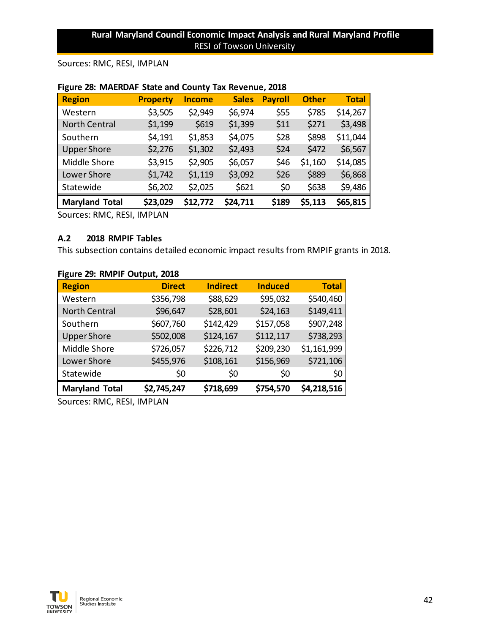Sources: RMC, RESI, IMPLAN

| <b>Region</b>         | <b>Property</b> | <b>Income</b> | <b>Sales</b> | <b>Payroll</b> | <b>Other</b> | <b>Total</b> |
|-----------------------|-----------------|---------------|--------------|----------------|--------------|--------------|
| Western               | \$3,505         | \$2,949       | \$6,974      | \$55           | \$785        | \$14,267     |
| <b>North Central</b>  | \$1,199         | \$619         | \$1,399      | \$11           | \$271        | \$3,498      |
| Southern              | \$4,191         | \$1,853       | \$4,075      | \$28           | \$898        | \$11,044     |
| <b>Upper Shore</b>    | \$2,276         | \$1,302       | \$2,493      | \$24           | \$472        | \$6,567      |
| Middle Shore          | \$3,915         | \$2,905       | \$6,057      | \$46           | \$1,160      | \$14,085     |
| Lower Shore           | \$1,742         | \$1,119       | \$3,092      | \$26           | \$889        | \$6,868      |
| Statewide             | \$6,202         | \$2,025       | \$621        | \$0            | \$638        | \$9,486      |
| <b>Maryland Total</b> | \$23,029        | \$12,772      | \$24,711     | \$189          | \$5,113      | \$65,815     |

#### **Figure 28: MAERDAF State and County Tax Revenue, 2018**

Sources: RMC, RESI, IMPLAN

#### **A.2 2018 RMPIF Tables**

This subsection contains detailed economic impact results from RMPIF grants in 2018.

#### **Figure 29: RMPIF Output, 2018**

| <b>Region</b>         | <b>Direct</b> | <b>Indirect</b> | <b>Induced</b> | <b>Total</b> |
|-----------------------|---------------|-----------------|----------------|--------------|
| Western               | \$356,798     | \$88,629        | \$95,032       | \$540,460    |
| <b>North Central</b>  | \$96,647      | \$28,601        | \$24,163       | \$149,411    |
| Southern              | \$607,760     | \$142,429       | \$157,058      | \$907,248    |
| <b>Upper Shore</b>    | \$502,008     | \$124,167       | \$112,117      | \$738,293    |
| Middle Shore          | \$726,057     | \$226,712       | \$209,230      | \$1,161,999  |
| Lower Shore           | \$455,976     | \$108,161       | \$156,969      | \$721,106    |
| Statewide             | \$0           | \$0             | \$0            | \$0          |
| <b>Maryland Total</b> | \$2,745,247   | \$718,699       | \$754,570      | \$4,218,516  |

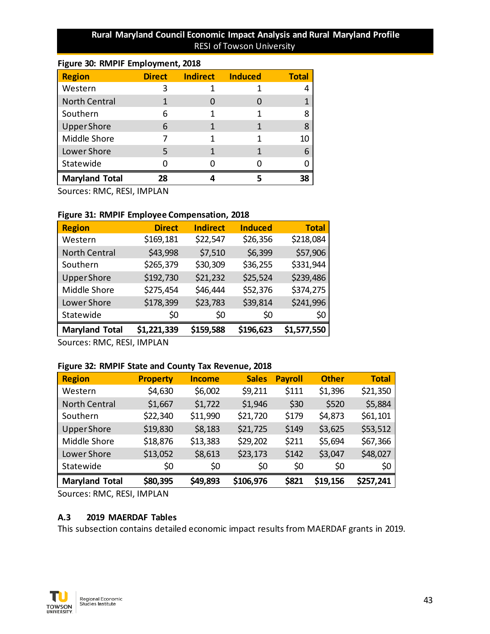| <b>Region</b>         | <b>Direct</b> | <b>Indirect</b> | <b>Induced</b> | <b>Total</b> |
|-----------------------|---------------|-----------------|----------------|--------------|
| Western               | 3             |                 |                |              |
| <b>North Central</b>  |               |                 |                |              |
| Southern              | 6             |                 |                |              |
| <b>Upper Shore</b>    | 6             |                 |                | 8            |
| Middle Shore          |               |                 |                | 10           |
| Lower Shore           | 5             |                 |                | 6            |
| Statewide             |               |                 |                |              |
| <b>Maryland Total</b> | 28            |                 |                | 38           |

**Figure 30: RMPIF Employment, 2018**

Sources: RMC, RESI, IMPLAN

#### **Figure 31: RMPIF Employee Compensation, 2018**

| <b>Region</b>         | <b>Direct</b> | <b>Indirect</b> | <b>Induced</b> | <b>Total</b> |
|-----------------------|---------------|-----------------|----------------|--------------|
| Western               | \$169,181     | \$22,547        | \$26,356       | \$218,084    |
| <b>North Central</b>  | \$43,998      | \$7,510         | \$6,399        | \$57,906     |
| Southern              | \$265,379     | \$30,309        | \$36,255       | \$331,944    |
| <b>Upper Shore</b>    | \$192,730     | \$21,232        | \$25,524       | \$239,486    |
| Middle Shore          | \$275,454     | \$46,444        | \$52,376       | \$374,275    |
| Lower Shore           | \$178,399     | \$23,783        | \$39,814       | \$241,996    |
| Statewide             | \$0           | \$0             | \$0            | \$0          |
| <b>Maryland Total</b> | \$1,221,339   | \$159,588       | \$196,623      | \$1,577,550  |

Sources: RMC, RESI, IMPLAN

#### **Figure 32: RMPIF State and County Tax Revenue, 2018**

| <b>Region</b>         | <b>Property</b> | <b>Income</b> | <b>Sales</b> | <b>Payroll</b> | <b>Other</b> | Total     |
|-----------------------|-----------------|---------------|--------------|----------------|--------------|-----------|
| Western               | \$4,630         | \$6,002       | \$9,211      | \$111          | \$1,396      | \$21,350  |
| <b>North Central</b>  | \$1,667         | \$1,722       | \$1,946      | \$30           | \$520        | \$5,884   |
| Southern              | \$22,340        | \$11,990      | \$21,720     | \$179          | \$4,873      | \$61,101  |
| <b>Upper Shore</b>    | \$19,830        | \$8,183       | \$21,725     | \$149          | \$3,625      | \$53,512  |
| Middle Shore          | \$18,876        | \$13,383      | \$29,202     | \$211          | \$5,694      | \$67,366  |
| Lower Shore           | \$13,052        | \$8,613       | \$23,173     | \$142          | \$3,047      | \$48,027  |
| Statewide             | \$0             | \$0           | \$0          | \$0            | \$0          | \$0       |
| <b>Maryland Total</b> | \$80,395        | \$49,893      | \$106,976    | \$821          | \$19,156     | \$257,241 |

Sources: RMC, RESI, IMPLAN

#### **A.3 2019 MAERDAF Tables**

This subsection contains detailed economic impact results from MAERDAF grants in 2019.

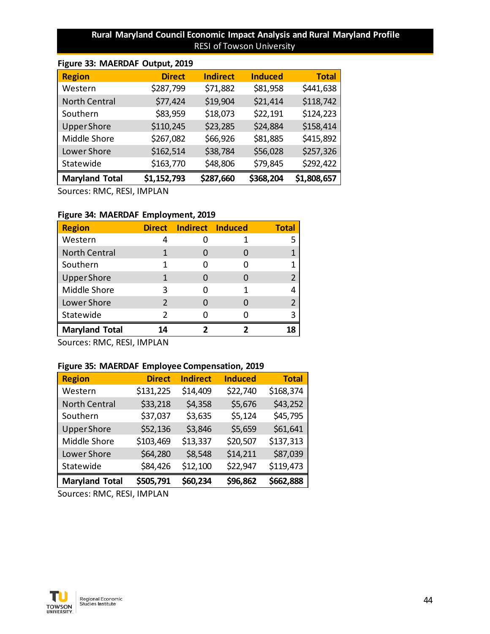| Figure 33: MAERDAF Output, 2019 |               |                 |                |              |  |  |
|---------------------------------|---------------|-----------------|----------------|--------------|--|--|
| <b>Region</b>                   | <b>Direct</b> | <b>Indirect</b> | <b>Induced</b> | <b>Total</b> |  |  |
| Western                         | \$287,799     | \$71,882        | \$81,958       | \$441,638    |  |  |
| <b>North Central</b>            | \$77,424      | \$19,904        | \$21,414       | \$118,742    |  |  |
| Southern                        | \$83,959      | \$18,073        | \$22,191       | \$124,223    |  |  |
| <b>Upper Shore</b>              | \$110,245     | \$23,285        | \$24,884       | \$158,414    |  |  |
| Middle Shore                    | \$267,082     | \$66,926        | \$81,885       | \$415,892    |  |  |
| Lower Shore                     | \$162,514     | \$38,784        | \$56,028       | \$257,326    |  |  |
| Statewide                       | \$163,770     | \$48,806        | \$79,845       | \$292,422    |  |  |
| <b>Maryland Total</b>           | \$1,152,793   | \$287,660       | \$368,204      | \$1,808,657  |  |  |
| Sources: RMC, RESI, IMPLAN      |               |                 |                |              |  |  |

# **Figure 34: MAERDAF Employment, 2019**

| <b>Region</b>         |               | Direct Indirect Induced | Total |
|-----------------------|---------------|-------------------------|-------|
| Western               |               |                         |       |
| <b>North Central</b>  |               |                         |       |
| Southern              |               |                         |       |
| <b>Upper Shore</b>    |               |                         |       |
| Middle Shore          | З             |                         |       |
| Lower Shore           | $\mathcal{P}$ |                         |       |
| Statewide             | 2             |                         |       |
| <b>Maryland Total</b> | 14            |                         |       |

Sources: RMC, RESI, IMPLAN

#### **Figure 35: MAERDAF Employee Compensation, 2019**

| <b>Region</b>         | <b>Direct</b> | <b>Indirect</b> | <b>Induced</b> | <b>Total</b> |
|-----------------------|---------------|-----------------|----------------|--------------|
| Western               | \$131,225     | \$14,409        | \$22,740       | \$168,374    |
| <b>North Central</b>  | \$33,218      | \$4,358         | \$5,676        | \$43,252     |
| Southern              | \$37,037      | \$3,635         | \$5,124        | \$45,795     |
| <b>Upper Shore</b>    | \$52,136      | \$3,846         | \$5,659        | \$61,641     |
| Middle Shore          | \$103,469     | \$13,337        | \$20,507       | \$137,313    |
| Lower Shore           | \$64,280      | \$8,548         | \$14,211       | \$87,039     |
| Statewide             | \$84,426      | \$12,100        | \$22,947       | \$119,473    |
| <b>Maryland Total</b> | \$505,791     | \$60,234        | \$96,862       | \$662,888    |

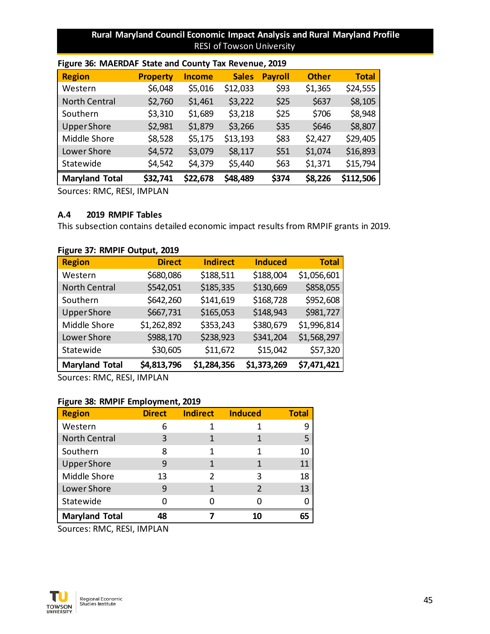| i igult 30. IVIALINDAI DIALE ahu County Tax INTVENUE, 2013 |                 |               |              |                |              |              |
|------------------------------------------------------------|-----------------|---------------|--------------|----------------|--------------|--------------|
| <b>Region</b>                                              | <b>Property</b> | <b>Income</b> | <b>Sales</b> | <b>Payroll</b> | <b>Other</b> | <b>Total</b> |
| Western                                                    | \$6,048         | \$5,016       | \$12,033     | \$93           | \$1,365      | \$24,555     |
| <b>North Central</b>                                       | \$2,760         | \$1,461       | \$3,222      | \$25           | \$637        | \$8,105      |
| Southern                                                   | \$3,310         | \$1,689       | \$3,218      | \$25           | \$706        | \$8,948      |
| <b>Upper Shore</b>                                         | \$2,981         | \$1,879       | \$3,266      | \$35           | \$646        | \$8,807      |
| Middle Shore                                               | \$8,528         | \$5,175       | \$13,193     | \$83           | \$2,427      | \$29,405     |
| Lower Shore                                                | \$4,572         | \$3,079       | \$8,117      | \$51           | \$1,074      | \$16,893     |
| Statewide                                                  | \$4,542         | \$4,379       | \$5,440      | \$63           | \$1,371      | \$15,794     |
| <b>Maryland Total</b>                                      | \$32,741        | \$22,678      | \$48,489     | \$374          | \$8,226      | \$112,506    |

## **Figure 36: MAERDAF State and County Tax Revenue, 2019**

Sources: RMC, RESI, IMPLAN

#### **A.4 2019 RMPIF Tables**

This subsection contains detailed economic impact results from RMPIF grants in 2019.

| <b>IGUIT JI. INTII II OULDUL, LUIJ</b> |               |                 |                |              |
|----------------------------------------|---------------|-----------------|----------------|--------------|
| <b>Region</b>                          | <b>Direct</b> | <b>Indirect</b> | <b>Induced</b> | <b>Total</b> |
| Western                                | \$680,086     | \$188,511       | \$188,004      | \$1,056,601  |
| <b>North Central</b>                   | \$542,051     | \$185,335       | \$130,669      | \$858,055    |
| Southern                               | \$642,260     | \$141,619       | \$168,728      | \$952,608    |
| <b>Upper Shore</b>                     | \$667,731     | \$165,053       | \$148,943      | \$981,727    |
| Middle Shore                           | \$1,262,892   | \$353,243       | \$380,679      | \$1,996,814  |
| Lower Shore                            | \$988,170     | \$238,923       | \$341,204      | \$1,568,297  |
| Statewide                              | \$30,605      | \$11,672        | \$15,042       | \$57,320     |
| <b>Maryland Total</b>                  | \$4,813,796   | \$1,284,356     | \$1,373,269    | \$7,471,421  |
|                                        |               |                 |                |              |

#### **Figure 37: RMPIF Output, 2019**

Sources: RMC, RESI, IMPLAN

#### **Figure 38: RMPIF Employment, 2019**

| <b>Region</b>         | <b>Direct</b> | <b>Indirect</b> | <b>Induced</b> | <b>Total</b> |
|-----------------------|---------------|-----------------|----------------|--------------|
| Western               | 6             |                 | 1              |              |
| <b>North Central</b>  | 3             |                 |                | 5            |
| Southern              | 8             |                 |                | 10           |
| <b>Upper Shore</b>    | 9             |                 |                | 11           |
| Middle Shore          | 13            |                 | 3              | 18           |
| Lower Shore           | 9             |                 |                | 13           |
| Statewide             |               |                 |                |              |
| <b>Maryland Total</b> | 48            |                 |                |              |

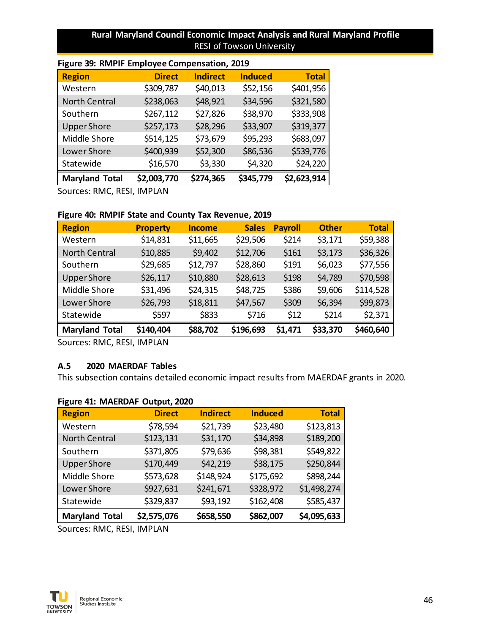| I ISUIT JJ. INVII II<br>Employee compensation, 2019 |               |                 |                |              |  |  |
|-----------------------------------------------------|---------------|-----------------|----------------|--------------|--|--|
| <b>Region</b>                                       | <b>Direct</b> | <b>Indirect</b> | <b>Induced</b> | <b>Total</b> |  |  |
| Western                                             | \$309,787     | \$40,013        | \$52,156       | \$401,956    |  |  |
| <b>North Central</b>                                | \$238,063     | \$48,921        | \$34,596       | \$321,580    |  |  |
| Southern                                            | \$267,112     | \$27,826        | \$38,970       | \$333,908    |  |  |
| <b>Upper Shore</b>                                  | \$257,173     | \$28,296        | \$33,907       | \$319,377    |  |  |
| Middle Shore                                        | \$514,125     | \$73,679        | \$95,293       | \$683,097    |  |  |
| Lower Shore                                         | \$400,939     | \$52,300        | \$86,536       | \$539,776    |  |  |
| Statewide                                           | \$16,570      | \$3,330         | \$4,320        | \$24,220     |  |  |
| <b>Maryland Total</b>                               | \$2,003,770   | \$274,365       | \$345,779      | \$2,623,914  |  |  |

## **Figure 39: RMPIF Employee Compensation, 2019**

Sources: RMC, RESI, IMPLAN

## **Figure 40: RMPIF State and County Tax Revenue, 2019**

| <b>Region</b>         | <b>Property</b> | <b>Income</b> | <b>Sales</b> | <b>Payroll</b> | <b>Other</b> | <b>Total</b> |
|-----------------------|-----------------|---------------|--------------|----------------|--------------|--------------|
| Western               | \$14,831        | \$11,665      | \$29,506     | \$214          | \$3,171      | \$59,388     |
| <b>North Central</b>  | \$10,885        | \$9,402       | \$12,706     | \$161          | \$3,173      | \$36,326     |
| Southern              | \$29,685        | \$12,797      | \$28,860     | \$191          | \$6,023      | \$77,556     |
| <b>Upper Shore</b>    | \$26,117        | \$10,880      | \$28,613     | \$198          | \$4,789      | \$70,598     |
| Middle Shore          | \$31,496        | \$24,315      | \$48,725     | \$386          | \$9,606      | \$114,528    |
| Lower Shore           | \$26,793        | \$18,811      | \$47,567     | \$309          | \$6,394      | \$99,873     |
| Statewide             | \$597           | \$833         | \$716        | \$12           | \$214        | \$2,371      |
| <b>Maryland Total</b> | \$140,404       | \$88,702      | \$196,693    | \$1,471        | \$33,370     | \$460,640    |

Sources: RMC, RESI, IMPLAN

#### **A.5 2020 MAERDAF Tables**

This subsection contains detailed economic impact results from MAERDAF grants in 2020.

| <b>Region</b>         | <b>Direct</b> | <b>Indirect</b> | <b>Induced</b> | <b>Total</b> |
|-----------------------|---------------|-----------------|----------------|--------------|
| Western               | \$78,594      | \$21,739        | \$23,480       | \$123,813    |
| <b>North Central</b>  | \$123,131     | \$31,170        | \$34,898       | \$189,200    |
| Southern              | \$371,805     | \$79,636        | \$98,381       | \$549,822    |
| <b>UpperShore</b>     | \$170,449     | \$42,219        | \$38,175       | \$250,844    |
| Middle Shore          | \$573,628     | \$148,924       | \$175,692      | \$898,244    |
| Lower Shore           | \$927,631     | \$241,671       | \$328,972      | \$1,498,274  |
| Statewide             | \$329,837     | \$93,192        | \$162,408      | \$585,437    |
| <b>Maryland Total</b> | \$2,575,076   | \$658,550       | \$862,007      | \$4,095,633  |

#### **Figure 41: MAERDAF Output, 2020**

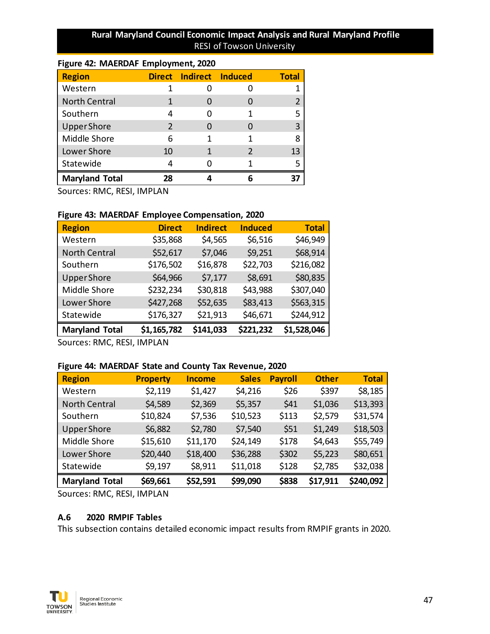| <b>Region</b>         |                | Direct Indirect Induced |               | <b>Total</b> |
|-----------------------|----------------|-------------------------|---------------|--------------|
| Western               | 1              | 0                       |               |              |
| <b>North Central</b>  | 1              | O                       | O             |              |
| Southern              | 4              |                         |               | 5            |
| <b>Upper Shore</b>    | $\overline{2}$ | O                       | O             | 3            |
| Middle Shore          | 6              | 1                       | 1             | 8            |
| Lower Shore           | 10             |                         | $\mathfrak z$ | 13           |
| Statewide             | 4              |                         | 1             | 5            |
| <b>Maryland Total</b> | 28             |                         |               | 37           |

# **Figure 42: MAERDAF Employment, 2020**

Sources: RMC, RESI, IMPLAN

## **Figure 43: MAERDAF Employee Compensation, 2020**

| <b>Region</b>         | <b>Direct</b> | <b>Indirect</b> | <b>Induced</b> | <b>Total</b> |
|-----------------------|---------------|-----------------|----------------|--------------|
| Western               | \$35,868      | \$4,565         | \$6,516        | \$46,949     |
| <b>North Central</b>  | \$52,617      | \$7,046         | \$9,251        | \$68,914     |
| Southern              | \$176,502     | \$16,878        | \$22,703       | \$216,082    |
| <b>Upper Shore</b>    | \$64,966      | \$7,177         | \$8,691        | \$80,835     |
| Middle Shore          | \$232,234     | \$30,818        | \$43,988       | \$307,040    |
| Lower Shore           | \$427,268     | \$52,635        | \$83,413       | \$563,315    |
| Statewide             | \$176,327     | \$21,913        | \$46,671       | \$244,912    |
| <b>Maryland Total</b> | \$1,165,782   | \$141,033       | \$221,232      | \$1,528,046  |

Sources: RMC, RESI, IMPLAN

#### **Figure 44: MAERDAF State and County Tax Revenue, 2020**

| <b>Region</b>         | <b>Property</b> | <b>Income</b> | <b>Sales</b> | <b>Payroll</b> | <b>Other</b> | <b>Total</b> |
|-----------------------|-----------------|---------------|--------------|----------------|--------------|--------------|
| Western               | \$2,119         | \$1,427       | \$4,216      | \$26           | \$397        | \$8,185      |
| <b>North Central</b>  | \$4,589         | \$2,369       | \$5,357      | \$41           | \$1,036      | \$13,393     |
| Southern              | \$10,824        | \$7,536       | \$10,523     | \$113          | \$2,579      | \$31,574     |
| <b>Upper Shore</b>    | \$6,882         | \$2,780       | \$7,540      | \$51           | \$1,249      | \$18,503     |
| Middle Shore          | \$15,610        | \$11,170      | \$24,149     | \$178          | \$4,643      | \$55,749     |
| Lower Shore           | \$20,440        | \$18,400      | \$36,288     | \$302          | \$5,223      | \$80,651     |
| Statewide             | \$9,197         | \$8,911       | \$11,018     | \$128          | \$2,785      | \$32,038     |
| <b>Maryland Total</b> | \$69,661        | \$52,591      | \$99,090     | \$838          | \$17,911     | \$240,092    |

Sources: RMC, RESI, IMPLAN

#### **A.6 2020 RMPIF Tables**

This subsection contains detailed economic impact results from RMPIF grants in 2020.

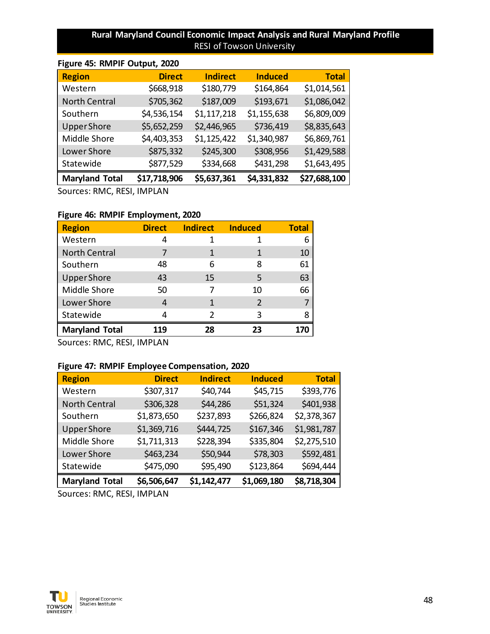| <b>Region</b>         | <b>Direct</b> | <b>Indirect</b> | <b>Induced</b> | <b>Total</b> |
|-----------------------|---------------|-----------------|----------------|--------------|
| Western               | \$668,918     | \$180,779       | \$164,864      | \$1,014,561  |
| <b>North Central</b>  | \$705,362     | \$187,009       | \$193,671      | \$1,086,042  |
| Southern              | \$4,536,154   | \$1,117,218     | \$1,155,638    | \$6,809,009  |
| <b>Upper Shore</b>    | \$5,652,259   | \$2,446,965     | \$736,419      | \$8,835,643  |
| Middle Shore          | \$4,403,353   | \$1,125,422     | \$1,340,987    | \$6,869,761  |
| Lower Shore           | \$875,332     | \$245,300       | \$308,956      | \$1,429,588  |
| Statewide             | \$877,529     | \$334,668       | \$431,298      | \$1,643,495  |
| <b>Maryland Total</b> | \$17,718,906  | \$5,637,361     | \$4,331,832    | \$27,688,100 |

Sources: RMC, RESI, IMPLAN

## **Figure 46: RMPIF Employment, 2020**

| <b>Region</b>         | <b>Direct</b> | <b>Indirect</b> | <b>Induced</b> | <b>Total</b> |
|-----------------------|---------------|-----------------|----------------|--------------|
| Western               |               |                 |                | 6            |
| <b>North Central</b>  |               |                 |                | 10           |
| Southern              | 48            | 6               | 8              | 61           |
| <b>Upper Shore</b>    | 43            | 15              | 5              | 63           |
| Middle Shore          | 50            |                 | 10             | 66           |
| Lower Shore           |               |                 | $\mathfrak{D}$ |              |
| Statewide             | 4             | $\mathcal{P}$   | ς              | ጸ            |
| <b>Maryland Total</b> | 119           | 28              | 23             |              |

Sources: RMC, RESI, IMPLAN

#### **Figure 47: RMPIF Employee Compensation, 2020**

| <b>Region</b>         | <b>Direct</b> | <b>Indirect</b> | <b>Induced</b> | <b>Total</b> |
|-----------------------|---------------|-----------------|----------------|--------------|
| Western               | \$307,317     | \$40,744        | \$45,715       | \$393,776    |
| <b>North Central</b>  | \$306,328     | \$44,286        | \$51,324       | \$401,938    |
| Southern              | \$1,873,650   | \$237,893       | \$266,824      | \$2,378,367  |
| <b>Upper Shore</b>    | \$1,369,716   | \$444,725       | \$167,346      | \$1,981,787  |
| Middle Shore          | \$1,711,313   | \$228,394       | \$335,804      | \$2,275,510  |
| Lower Shore           | \$463,234     | \$50,944        | \$78,303       | \$592,481    |
| Statewide             | \$475,090     | \$95,490        | \$123,864      | \$694,444    |
| <b>Maryland Total</b> | \$6,506,647   | \$1,142,477     | \$1,069,180    | \$8,718,304  |

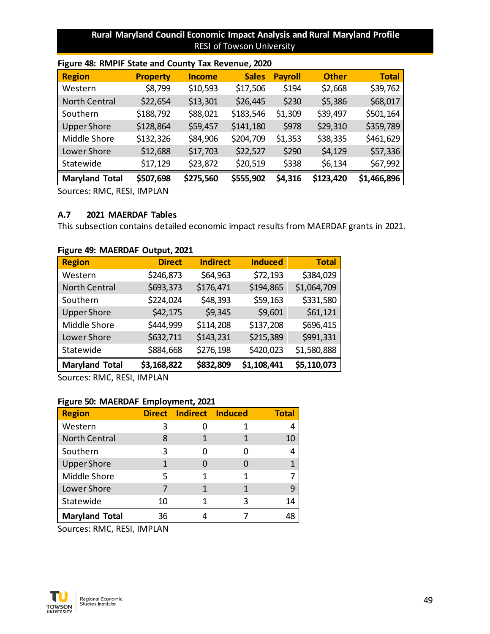| <b>Region</b>         | <b>Property</b> | <b>Income</b> | <b>Sales</b> | <b>Payroll</b> | <b>Other</b> | <b>Total</b> |
|-----------------------|-----------------|---------------|--------------|----------------|--------------|--------------|
| Western               | \$8,799         | \$10,593      | \$17,506     | \$194          | \$2,668      | \$39,762     |
| <b>North Central</b>  | \$22,654        | \$13,301      | \$26,445     | \$230          | \$5,386      | \$68,017     |
| Southern              | \$188,792       | \$88,021      | \$183,546    | \$1,309        | \$39,497     | \$501,164    |
| <b>Upper Shore</b>    | \$128,864       | \$59,457      | \$141,180    | \$978          | \$29,310     | \$359,789    |
| Middle Shore          | \$132,326       | \$84,906      | \$204,709    | \$1,353        | \$38,335     | \$461,629    |
| Lower Shore           | \$12,688        | \$17,703      | \$22,527     | \$290          | \$4,129      | \$57,336     |
| Statewide             | \$17,129        | \$23,872      | \$20,519     | \$338          | \$6,134      | \$67,992     |
| <b>Maryland Total</b> | \$507,698       | \$275,560     | \$555,902    | \$4,316        | \$123,420    | \$1,466,896  |

#### **Figure 48: RMPIF State and County Tax Revenue, 2020**

Sources: RMC, RESI, IMPLAN

#### **A.7 2021 MAERDAF Tables**

This subsection contains detailed economic impact results from MAERDAF grants in 2021.

| <b>I</b> ISUIC TJ. ITIMEIIDAI | OULPUL, LULL  |                 |                |              |
|-------------------------------|---------------|-----------------|----------------|--------------|
| <b>Region</b>                 | <b>Direct</b> | <b>Indirect</b> | <b>Induced</b> | <b>Total</b> |
| Western                       | \$246,873     | \$64,963        | \$72,193       | \$384,029    |
| <b>North Central</b>          | \$693,373     | \$176,471       | \$194,865      | \$1,064,709  |
| Southern                      | \$224,024     | \$48,393        | \$59,163       | \$331,580    |
| <b>Upper Shore</b>            | \$42,175      | \$9,345         | \$9,601        | \$61,121     |
| Middle Shore                  | \$444,999     | \$114,208       | \$137,208      | \$696,415    |
| Lower Shore                   | \$632,711     | \$143,231       | \$215,389      | \$991,331    |
| Statewide                     | \$884,668     | \$276,198       | \$420,023      | \$1,580,888  |
| <b>Maryland Total</b>         | \$3,168,822   | \$832,809       | \$1,108,441    | \$5,110,073  |
|                               |               |                 |                |              |

#### **Figure 49: MAERDAF Output, 2021**

Sources: RMC, RESI, IMPLAN

#### **Figure 50: MAERDAF Employment, 2021**

| <b>Region</b>         |    | Direct Indirect Induced |   | <b>Total</b> |
|-----------------------|----|-------------------------|---|--------------|
| Western               | ੨  |                         |   |              |
| <b>North Central</b>  | 8  |                         |   |              |
| Southern              | 3  |                         |   |              |
| <b>Upper Shore</b>    |    |                         |   |              |
| Middle Shore          | 5  |                         |   |              |
| Lower Shore           |    |                         |   |              |
| Statewide             | 10 |                         | 3 | 14           |
| <b>Maryland Total</b> | 36 |                         |   |              |

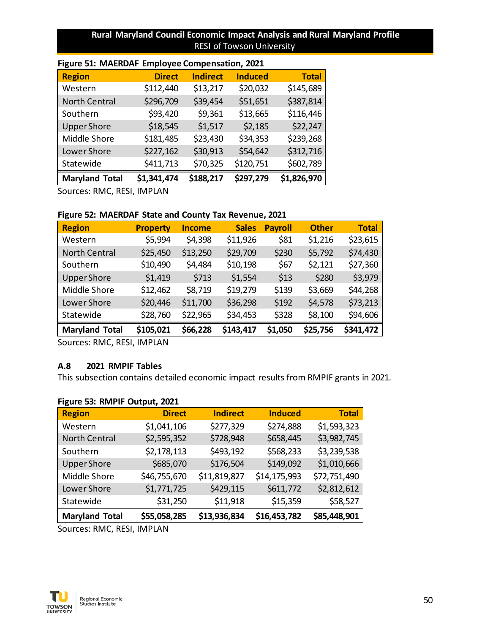| <b>Region</b>         | <b>Direct</b> | <b>Indirect</b> | <b>Induced</b> | <b>Total</b> |
|-----------------------|---------------|-----------------|----------------|--------------|
| Western               | \$112,440     | \$13,217        | \$20,032       | \$145,689    |
| <b>North Central</b>  | \$296,709     | \$39,454        | \$51,651       | \$387,814    |
| Southern              | \$93,420      | \$9,361         | \$13,665       | \$116,446    |
| <b>Upper Shore</b>    | \$18,545      | \$1,517         | \$2,185        | \$22,247     |
| Middle Shore          | \$181,485     | \$23,430        | \$34,353       | \$239,268    |
| Lower Shore           | \$227,162     | \$30,913        | \$54,642       | \$312,716    |
| Statewide             | \$411,713     | \$70,325        | \$120,751      | \$602,789    |
| <b>Maryland Total</b> | \$1,341,474   | \$188,217       | \$297,279      | \$1,826,970  |

## **Figure 51: MAERDAF Employee Compensation, 2021**

Sources: RMC, RESI, IMPLAN

## **Figure 52: MAERDAF State and County Tax Revenue, 2021**

| <b>Region</b>         | <b>Property</b> | <b>Income</b> | <b>Sales</b> | <b>Payroll</b> | <b>Other</b> | <b>Total</b> |
|-----------------------|-----------------|---------------|--------------|----------------|--------------|--------------|
| Western               | \$5,994         | \$4,398       | \$11,926     | \$81           | \$1,216      | \$23,615     |
| <b>North Central</b>  | \$25,450        | \$13,250      | \$29,709     | \$230          | \$5,792      | \$74,430     |
| Southern              | \$10,490        | \$4,484       | \$10,198     | \$67           | \$2,121      | \$27,360     |
| <b>Upper Shore</b>    | \$1,419         | \$713         | \$1,554      | \$13           | \$280        | \$3,979      |
| Middle Shore          | \$12,462        | \$8,719       | \$19,279     | \$139          | \$3,669      | \$44,268     |
| Lower Shore           | \$20,446        | \$11,700      | \$36,298     | \$192          | \$4,578      | \$73,213     |
| Statewide             | \$28,760        | \$22,965      | \$34,453     | \$328          | \$8,100      | \$94,606     |
| <b>Maryland Total</b> | \$105,021       | \$66,228      | \$143,417    | \$1,050        | \$25,756     | \$341,472    |

Sources: RMC, RESI, IMPLAN

#### **A.8 2021 RMPIF Tables**

This subsection contains detailed economic impact results from RMPIF grants in 2021.

| <b>Region</b>         | <b>Direct</b> | <b>Indirect</b> | <b>Induced</b> | <b>Total</b> |
|-----------------------|---------------|-----------------|----------------|--------------|
| Western               | \$1,041,106   | \$277,329       | \$274,888      | \$1,593,323  |
| <b>North Central</b>  | \$2,595,352   | \$728,948       | \$658,445      | \$3,982,745  |
| Southern              | \$2,178,113   | \$493,192       | \$568,233      | \$3,239,538  |
| <b>Upper Shore</b>    | \$685,070     | \$176,504       | \$149,092      | \$1,010,666  |
| Middle Shore          | \$46,755,670  | \$11,819,827    | \$14,175,993   | \$72,751,490 |
| Lower Shore           | \$1,771,725   | \$429,115       | \$611,772      | \$2,812,612  |
| Statewide             | \$31,250      | \$11,918        | \$15,359       | \$58,527     |
| <b>Maryland Total</b> | \$55,058,285  | \$13,936,834    | \$16,453,782   | \$85,448,901 |

#### **Figure 53: RMPIF Output, 2021**